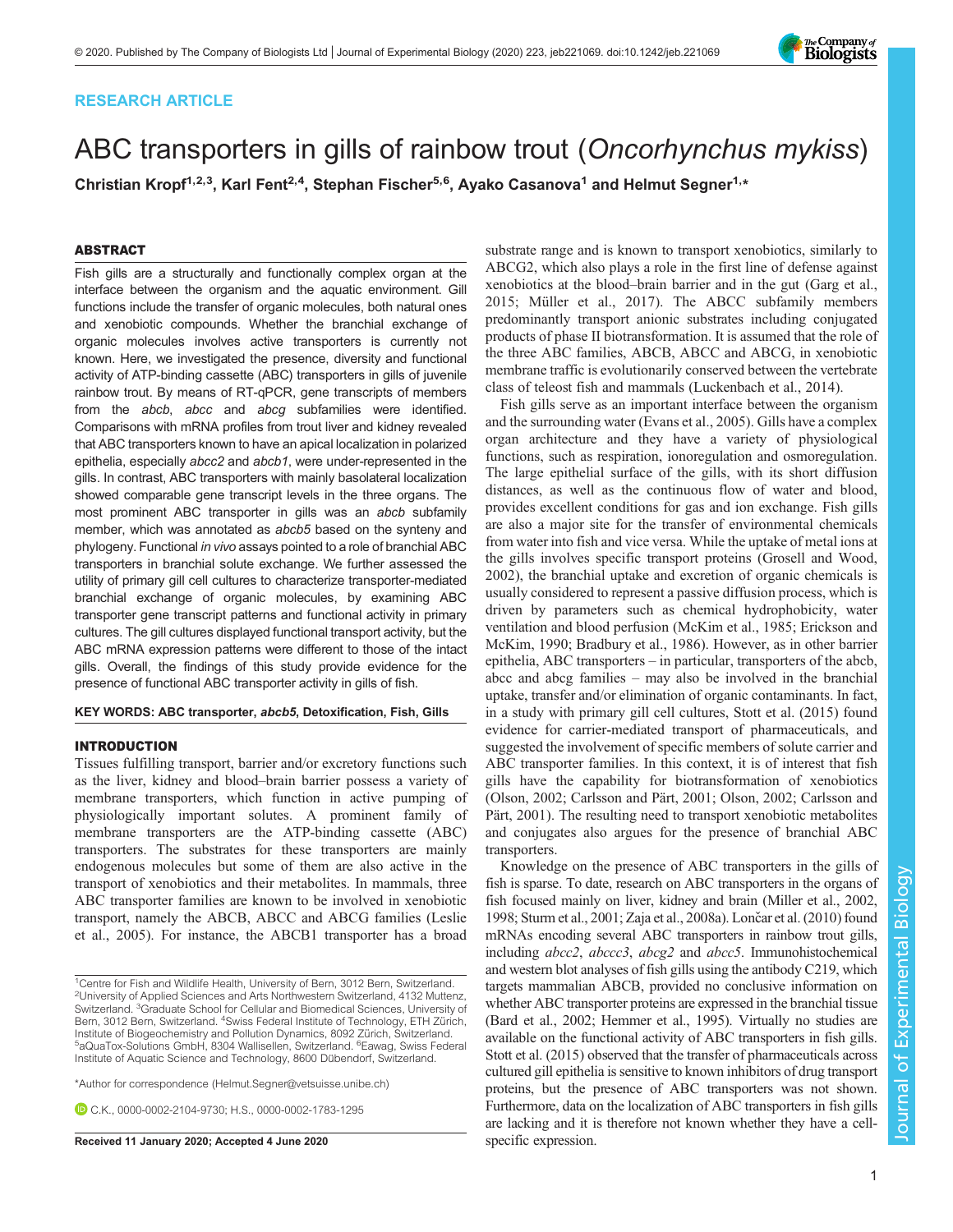# RESEARCH ARTICLE

# ABC transporters in gills of rainbow trout (Oncorhynchus mykiss)

Christian Kropf<sup>1,2,3</sup>, Karl Fent<sup>2,4</sup>, Stephan Fischer<sup>5,6</sup>, Ayako Casanova<sup>1</sup> and Helmut Segner<sup>1,\*</sup>

# ABSTRACT

Fish gills are a structurally and functionally complex organ at the interface between the organism and the aquatic environment. Gill functions include the transfer of organic molecules, both natural ones and xenobiotic compounds. Whether the branchial exchange of organic molecules involves active transporters is currently not known. Here, we investigated the presence, diversity and functional activity of ATP-binding cassette (ABC) transporters in gills of juvenile rainbow trout. By means of RT-qPCR, gene transcripts of members from the abcb, abcc and abcg subfamilies were identified. Comparisons with mRNA profiles from trout liver and kidney revealed that ABC transporters known to have an apical localization in polarized epithelia, especially abcc2 and abcb1, were under-represented in the gills. In contrast, ABC transporters with mainly basolateral localization showed comparable gene transcript levels in the three organs. The most prominent ABC transporter in gills was an abcb subfamily member, which was annotated as abcb5 based on the synteny and phylogeny. Functional in vivo assays pointed to a role of branchial ABC transporters in branchial solute exchange. We further assessed the utility of primary gill cell cultures to characterize transporter-mediated branchial exchange of organic molecules, by examining ABC transporter gene transcript patterns and functional activity in primary cultures. The gill cultures displayed functional transport activity, but the ABC mRNA expression patterns were different to those of the intact gills. Overall, the findings of this study provide evidence for the presence of functional ABC transporter activity in gills of fish.

#### KEY WORDS: ABC transporter, abcb5, Detoxification, Fish, Gills

#### INTRODUCTION

Tissues fulfilling transport, barrier and/or excretory functions such as the liver, kidney and blood–brain barrier possess a variety of membrane transporters, which function in active pumping of physiologically important solutes. A prominent family of membrane transporters are the ATP-binding cassette (ABC) transporters. The substrates for these transporters are mainly endogenous molecules but some of them are also active in the transport of xenobiotics and their metabolites. In mammals, three ABC transporter families are known to be involved in xenobiotic transport, namely the ABCB, ABCC and ABCG families [\(Leslie](#page-12-0) [et al., 2005\)](#page-12-0). For instance, the ABCB1 transporter has a broad

\*Author for correspondence [\(Helmut.Segner@vetsuisse.unibe.ch\)](mailto:Helmut.Segner@vetsuisse.unibe.ch)

C.K., [0000-0002-2104-9730](http://orcid.org/0000-0002-2104-9730); H.S., [0000-0002-1783-1295](http://orcid.org/0000-0002-1783-1295)

Received 11 January 2020; Accepted 4 June 2020 specific expression.

substrate range and is known to transport xenobiotics, similarly to ABCG2, which also plays a role in the first line of defense against xenobiotics at the blood–brain barrier and in the gut ([Garg et al.,](#page-12-0) [2015;](#page-12-0) [Müller et al., 2017](#page-13-0)). The ABCC subfamily members predominantly transport anionic substrates including conjugated products of phase II biotransformation. It is assumed that the role of the three ABC families, ABCB, ABCC and ABCG, in xenobiotic membrane traffic is evolutionarily conserved between the vertebrate class of teleost fish and mammals ([Luckenbach et al., 2014\)](#page-13-0).

Fish gills serve as an important interface between the organism and the surrounding water [\(Evans et al., 2005](#page-12-0)). Gills have a complex organ architecture and they have a variety of physiological functions, such as respiration, ionoregulation and osmoregulation. The large epithelial surface of the gills, with its short diffusion distances, as well as the continuous flow of water and blood, provides excellent conditions for gas and ion exchange. Fish gills are also a major site for the transfer of environmental chemicals from water into fish and vice versa. While the uptake of metal ions at the gills involves specific transport proteins ([Grosell and Wood,](#page-12-0) [2002\)](#page-12-0), the branchial uptake and excretion of organic chemicals is usually considered to represent a passive diffusion process, which is driven by parameters such as chemical hydrophobicity, water ventilation and blood perfusion ([McKim et al., 1985](#page-13-0); [Erickson and](#page-12-0) [McKim, 1990](#page-12-0); [Bradbury et al., 1986](#page-12-0)). However, as in other barrier epithelia, ABC transporters – in particular, transporters of the abcb, abcc and abcg families – may also be involved in the branchial uptake, transfer and/or elimination of organic contaminants. In fact, in a study with primary gill cell cultures, [Stott et al. \(2015\)](#page-13-0) found evidence for carrier-mediated transport of pharmaceuticals, and suggested the involvement of specific members of solute carrier and ABC transporter families. In this context, it is of interest that fish gills have the capability for biotransformation of xenobiotics [\(Olson, 2002;](#page-13-0) [Carlsson and Pärt, 2001;](#page-12-0) [Olson, 2002;](#page-13-0) [Carlsson and](#page-12-0) [Pärt, 2001](#page-12-0)). The resulting need to transport xenobiotic metabolites and conjugates also argues for the presence of branchial ABC transporters.

Knowledge on the presence of ABC transporters in the gills of fish is sparse. To date, research on ABC transporters in the organs of fish focused mainly on liver, kidney and brain [\(Miller et al., 2002,](#page-13-0) [1998; Sturm et al., 2001](#page-13-0); [Zaja et al., 2008a](#page-13-0)). Lončar et al. (2010) found mRNAs encoding several ABC transporters in rainbow trout gills, including abcc2, abccc3, abcg2 and abcc5. Immunohistochemical and western blot analyses of fish gills using the antibody C219, which targets mammalian ABCB, provided no conclusive information on whether ABC transporter proteins are expressed in the branchial tissue [\(Bard et al., 2002](#page-12-0); [Hemmer et al., 1995\)](#page-12-0). Virtually no studies are available on the functional activity of ABC transporters in fish gills. [Stott et al. \(2015\)](#page-13-0) observed that the transfer of pharmaceuticals across cultured gill epithelia is sensitive to known inhibitors of drug transport proteins, but the presence of ABC transporters was not shown. Furthermore, data on the localization of ABC transporters in fish gills are lacking and it is therefore not known whether they have a cell-



<sup>&</sup>lt;sup>1</sup>Centre for Fish and Wildlife Health, University of Bern, 3012 Bern, Switzerland. <sup>2</sup>University of Applied Sciences and Arts Northwestern Switzerland, 4132 Muttenz, Switzerland. <sup>3</sup> Graduate School for Cellular and Biomedical Sciences, University of Bern, 3012 Bern, Switzerland. <sup>4</sup>Swiss Federal Institute of Technology, ETH Zürich, Institute of Biogeochemistry and Pollution Dynamics, 8092 Zürich, Switzerland. aQuaTox-Solutions GmbH, 8304 Wallisellen, Switzerland. <sup>6</sup> Eawag, Swiss Federal Institute of Aquatic Science and Technology, 8600 Dübendorf, Switzerland.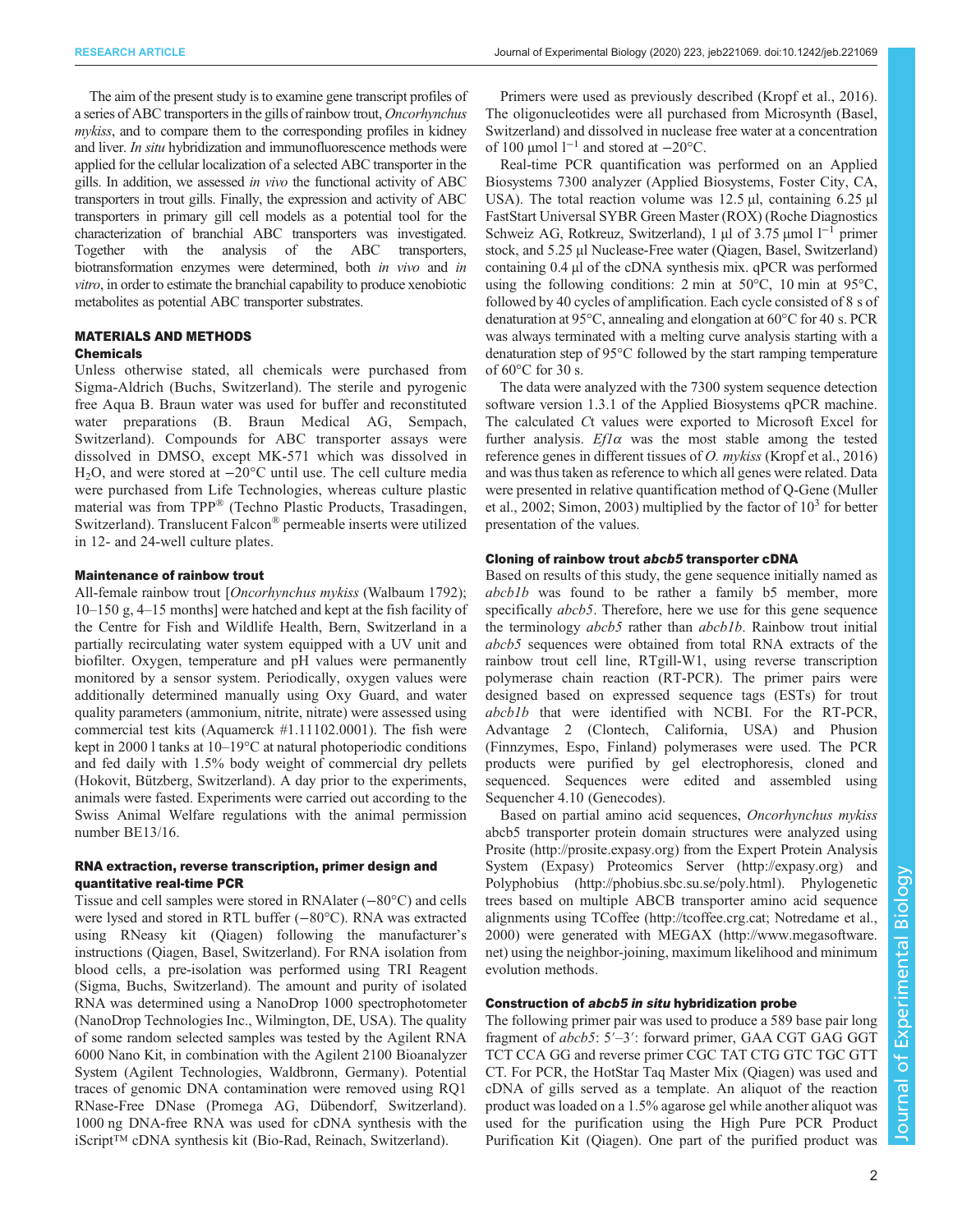The aim of the present study is to examine gene transcript profiles of a series of ABC transporters in the gills of rainbow trout, Oncorhynchus mykiss, and to compare them to the corresponding profiles in kidney and liver. In situ hybridization and immunofluorescence methods were applied for the cellular localization of a selected ABC transporter in the gills. In addition, we assessed in vivo the functional activity of ABC transporters in trout gills. Finally, the expression and activity of ABC transporters in primary gill cell models as a potential tool for the characterization of branchial ABC transporters was investigated. Together with the analysis of the ABC transporters, biotransformation enzymes were determined, both in vivo and in vitro, in order to estimate the branchial capability to produce xenobiotic metabolites as potential ABC transporter substrates.

### MATERIALS AND METHODS

#### Chemicals

Unless otherwise stated, all chemicals were purchased from Sigma-Aldrich (Buchs, Switzerland). The sterile and pyrogenic free Aqua B. Braun water was used for buffer and reconstituted water preparations (B. Braun Medical AG, Sempach, Switzerland). Compounds for ABC transporter assays were dissolved in DMSO, except MK-571 which was dissolved in H2O, and were stored at −20°C until use. The cell culture media were purchased from Life Technologies, whereas culture plastic material was from TPP® (Techno Plastic Products, Trasadingen, Switzerland). Translucent Falcon® permeable inserts were utilized in 12- and 24-well culture plates.

# Maintenance of rainbow trout

All-female rainbow trout [Oncorhynchus mykiss (Walbaum 1792); 10–150 g, 4–15 months] were hatched and kept at the fish facility of the Centre for Fish and Wildlife Health, Bern, Switzerland in a partially recirculating water system equipped with a UV unit and biofilter. Oxygen, temperature and pH values were permanently monitored by a sensor system. Periodically, oxygen values were additionally determined manually using Oxy Guard, and water quality parameters (ammonium, nitrite, nitrate) were assessed using commercial test kits (Aquamerck #1.11102.0001). The fish were kept in 2000 l tanks at 10–19°C at natural photoperiodic conditions and fed daily with 1.5% body weight of commercial dry pellets (Hokovit, Bützberg, Switzerland). A day prior to the experiments, animals were fasted. Experiments were carried out according to the Swiss Animal Welfare regulations with the animal permission number BE13/16.

# RNA extraction, reverse transcription, primer design and quantitative real-time PCR

Tissue and cell samples were stored in RNAlater (−80°C) and cells were lysed and stored in RTL buffer (−80°C). RNA was extracted using RNeasy kit (Qiagen) following the manufacturer's instructions (Qiagen, Basel, Switzerland). For RNA isolation from blood cells, a pre-isolation was performed using TRI Reagent (Sigma, Buchs, Switzerland). The amount and purity of isolated RNA was determined using a NanoDrop 1000 spectrophotometer (NanoDrop Technologies Inc., Wilmington, DE, USA). The quality of some random selected samples was tested by the Agilent RNA 6000 Nano Kit, in combination with the Agilent 2100 Bioanalyzer System (Agilent Technologies, Waldbronn, Germany). Potential traces of genomic DNA contamination were removed using RQ1 RNase-Free DNase (Promega AG, Dübendorf, Switzerland). 1000 ng DNA-free RNA was used for cDNA synthesis with the iScript™ cDNA synthesis kit (Bio-Rad, Reinach, Switzerland).

Primers were used as previously described [\(Kropf et al., 2016\)](#page-12-0). The oligonucleotides were all purchased from Microsynth (Basel, Switzerland) and dissolved in nuclease free water at a concentration of 100 µmol  $l^{-1}$  and stored at  $-20^{\circ}$ C.

Real-time PCR quantification was performed on an Applied Biosystems 7300 analyzer (Applied Biosystems, Foster City, CA, USA). The total reaction volume was  $12.5 \mu l$ , containing  $6.25 \mu l$ FastStart Universal SYBR Green Master (ROX) (Roche Diagnostics Schweiz AG, Rotkreuz, Switzerland), 1 µl of 3.75 µmol l−<sup>1</sup> primer stock, and 5.25 µl Nuclease-Free water (Qiagen, Basel, Switzerland) containing 0.4 µl of the cDNA synthesis mix. qPCR was performed using the following conditions: 2 min at 50°C, 10 min at 95°C, followed by 40 cycles of amplification. Each cycle consisted of 8 s of denaturation at 95°C, annealing and elongation at 60°C for 40 s. PCR was always terminated with a melting curve analysis starting with a denaturation step of 95°C followed by the start ramping temperature of 60°C for 30 s.

The data were analyzed with the 7300 system sequence detection software version 1.3.1 of the Applied Biosystems qPCR machine. The calculated Ct values were exported to Microsoft Excel for further analysis.  $Ef1\alpha$  was the most stable among the tested reference genes in different tissues of O. mykiss ([Kropf et al., 2016\)](#page-12-0) and was thus taken as reference to which all genes were related. Data were presented in relative quantification method of Q-Gene [\(Muller](#page-13-0) [et al., 2002](#page-13-0); [Simon, 2003\)](#page-13-0) multiplied by the factor of  $10^3$  for better presentation of the values.

## Cloning of rainbow trout abcb5 transporter cDNA

Based on results of this study, the gene sequence initially named as abcb1b was found to be rather a family b5 member, more specifically *abcb5*. Therefore, here we use for this gene sequence the terminology *abcb5* rather than *abcb1b*. Rainbow trout initial abcb5 sequences were obtained from total RNA extracts of the rainbow trout cell line, RTgill-W1, using reverse transcription polymerase chain reaction (RT-PCR). The primer pairs were designed based on expressed sequence tags (ESTs) for trout abcb1b that were identified with NCBI. For the RT-PCR, Advantage 2 (Clontech, California, USA) and Phusion (Finnzymes, Espo, Finland) polymerases were used. The PCR products were purified by gel electrophoresis, cloned and sequenced. Sequences were edited and assembled using Sequencher 4.10 (Genecodes).

Based on partial amino acid sequences, Oncorhynchus mykiss abcb5 transporter protein domain structures were analyzed using Prosite (<http://prosite.expasy.org>) from the Expert Protein Analysis System (Expasy) Proteomics Server ([http://expasy.org\)](http://expasy.org) and Polyphobius [\(http://phobius.sbc.su.se/poly.html](http://phobius.sbc.su.se/poly.html)). Phylogenetic trees based on multiple ABCB transporter amino acid sequence alignments using TCoffee [\(http://tcoffee.crg.cat](http://tcoffee.crg.cat); [Notredame et al.,](#page-13-0) [2000\)](#page-13-0) were generated with MEGAX [\(http://www.megasoftware.](http://www.megasoftware.net) [net](http://www.megasoftware.net)) using the neighbor-joining, maximum likelihood and minimum evolution methods.

## Construction of abcb5 in situ hybridization probe

The following primer pair was used to produce a 589 base pair long fragment of *abcb5*: 5′–3′: forward primer, GAA CGT GAG GGT TCT CCA GG and reverse primer CGC TAT CTG GTC TGC GTT CT. For PCR, the HotStar Taq Master Mix (Qiagen) was used and cDNA of gills served as a template. An aliquot of the reaction product was loaded on a 1.5% agarose gel while another aliquot was used for the purification using the High Pure PCR Product Purification Kit (Qiagen). One part of the purified product was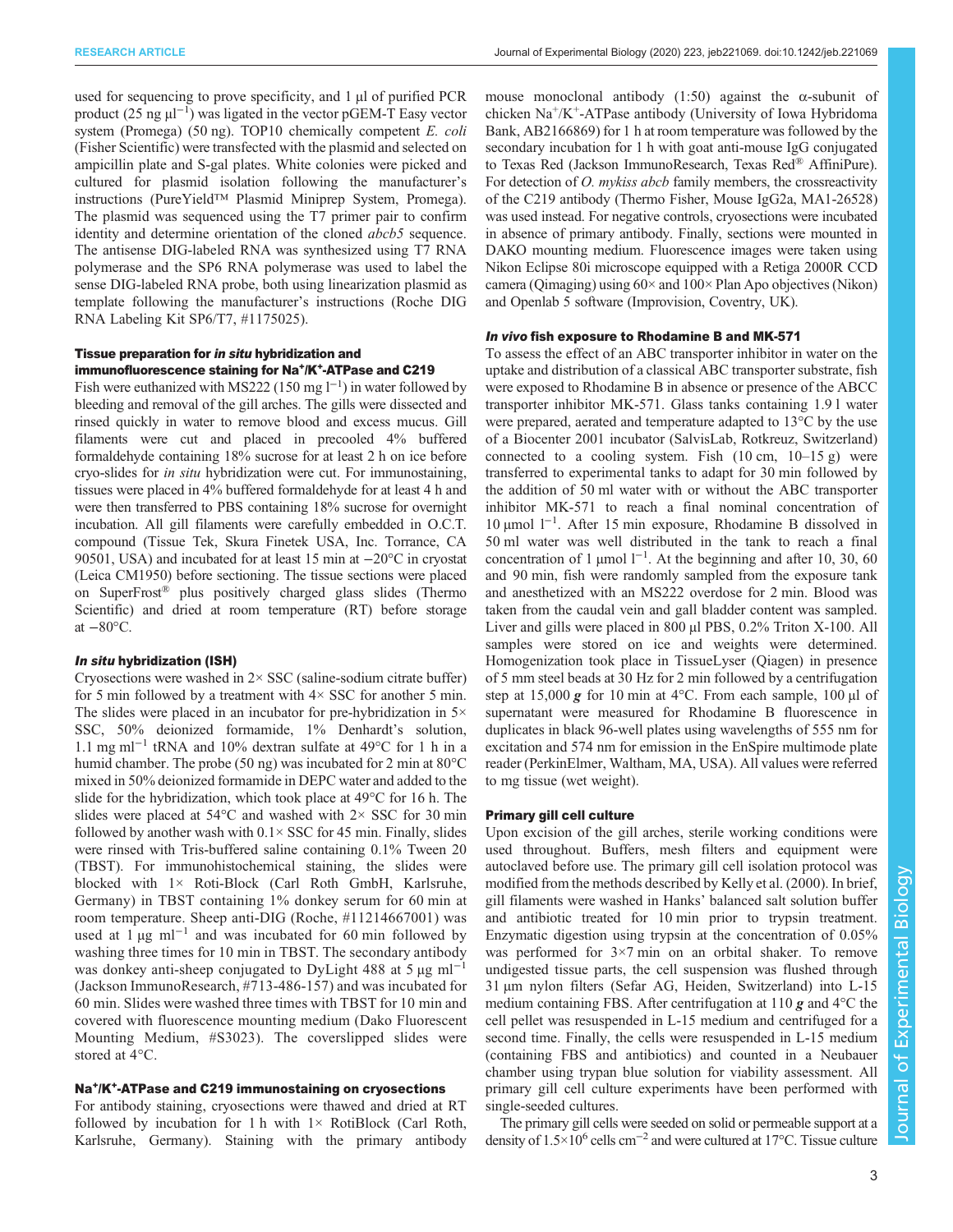used for sequencing to prove specificity, and 1 µl of purified PCR product  $(25 \text{ ng } \mu\text{I}^{-1})$  was ligated in the vector pGEM-T Easy vector system (Promega) (50 ng). TOP10 chemically competent E. coli (Fisher Scientific) were transfected with the plasmid and selected on ampicillin plate and S-gal plates. White colonies were picked and cultured for plasmid isolation following the manufacturer's instructions (PureYield™ Plasmid Miniprep System, Promega). The plasmid was sequenced using the T7 primer pair to confirm identity and determine orientation of the cloned abcb5 sequence. The antisense DIG-labeled RNA was synthesized using T7 RNA polymerase and the SP6 RNA polymerase was used to label the sense DIG-labeled RNA probe, both using linearization plasmid as template following the manufacturer's instructions (Roche DIG RNA Labeling Kit SP6/T7, #1175025).

## Tissue preparation for in situ hybridization and immunofluorescence staining for Na<sup>+</sup>/K<sup>+</sup>-ATPase and C219

Fish were euthanized with MS222 (150 mg  $l^{-1}$ ) in water followed by bleeding and removal of the gill arches. The gills were dissected and rinsed quickly in water to remove blood and excess mucus. Gill filaments were cut and placed in precooled 4% buffered formaldehyde containing 18% sucrose for at least 2 h on ice before cryo-slides for in situ hybridization were cut. For immunostaining, tissues were placed in 4% buffered formaldehyde for at least 4 h and were then transferred to PBS containing 18% sucrose for overnight incubation. All gill filaments were carefully embedded in O.C.T. compound (Tissue Tek, Skura Finetek USA, Inc. Torrance, CA 90501, USA) and incubated for at least 15 min at −20°C in cryostat (Leica CM1950) before sectioning. The tissue sections were placed on SuperFrost® plus positively charged glass slides (Thermo Scientific) and dried at room temperature (RT) before storage at  $-80$ <sup>o</sup>C.

#### In situ hybridization (ISH)

Cryosections were washed in  $2 \times SSC$  (saline-sodium citrate buffer) for 5 min followed by a treatment with  $4 \times$  SSC for another 5 min. The slides were placed in an incubator for pre-hybridization in  $5\times$ SSC, 50% deionized formamide, 1% Denhardt's solution, 1.1 mg ml−<sup>1</sup> tRNA and 10% dextran sulfate at 49°C for 1 h in a humid chamber. The probe (50 ng) was incubated for 2 min at 80°C mixed in 50% deionized formamide in DEPC water and added to the slide for the hybridization, which took place at 49°C for 16 h. The slides were placed at  $54^{\circ}$ C and washed with  $2 \times$  SSC for 30 min followed by another wash with  $0.1 \times$  SSC for 45 min. Finally, slides were rinsed with Tris-buffered saline containing 0.1% Tween 20 (TBST). For immunohistochemical staining, the slides were blocked with 1× Roti-Block (Carl Roth GmbH, Karlsruhe, Germany) in TBST containing 1% donkey serum for 60 min at room temperature. Sheep anti-DIG (Roche, #11214667001) was used at  $1 \mu g$  ml<sup>-1</sup> and was incubated for 60 min followed by washing three times for 10 min in TBST. The secondary antibody was donkey anti-sheep conjugated to DyLight 488 at 5  $\mu$ g ml<sup>-1</sup> (Jackson ImmunoResearch, #713-486-157) and was incubated for 60 min. Slides were washed three times with TBST for 10 min and covered with fluorescence mounting medium (Dako Fluorescent Mounting Medium, #S3023). The coverslipped slides were stored at 4°C.

## Na+/K+-ATPase and C219 immunostaining on cryosections

For antibody staining, cryosections were thawed and dried at RT followed by incubation for 1 h with  $1 \times$  RotiBlock (Carl Roth, Karlsruhe, Germany). Staining with the primary antibody mouse monoclonal antibody  $(1:50)$  against the  $\alpha$ -subunit of chicken  $Na^+/K^+$ -ATPase antibody (University of Iowa Hybridoma Bank, AB2166869) for 1 h at room temperature was followed by the secondary incubation for 1 h with goat anti-mouse IgG conjugated to Texas Red (Jackson ImmunoResearch, Texas Red® AffiniPure). For detection of *O. mykiss abcb* family members, the crossreactivity of the C219 antibody (Thermo Fisher, Mouse IgG2a, MA1-26528) was used instead. For negative controls, cryosections were incubated in absence of primary antibody. Finally, sections were mounted in DAKO mounting medium. Fluorescence images were taken using Nikon Eclipse 80i microscope equipped with a Retiga 2000R CCD camera (Qimaging) using 60× and 100× Plan Apo objectives (Nikon) and Openlab 5 software (Improvision, Coventry, UK).

### In vivo fish exposure to Rhodamine B and MK-571

To assess the effect of an ABC transporter inhibitor in water on the uptake and distribution of a classical ABC transporter substrate, fish were exposed to Rhodamine B in absence or presence of the ABCC transporter inhibitor MK-571. Glass tanks containing 1.9 l water were prepared, aerated and temperature adapted to 13°C by the use of a Biocenter 2001 incubator (SalvisLab, Rotkreuz, Switzerland) connected to a cooling system. Fish  $(10 \text{ cm}, 10-15 \text{ g})$  were transferred to experimental tanks to adapt for 30 min followed by the addition of 50 ml water with or without the ABC transporter inhibitor MK-571 to reach a final nominal concentration of 10 µmol l−<sup>1</sup> . After 15 min exposure, Rhodamine B dissolved in 50 ml water was well distributed in the tank to reach a final concentration of 1 µmol  $l^{-1}$ . At the beginning and after 10, 30, 60 and 90 min, fish were randomly sampled from the exposure tank and anesthetized with an MS222 overdose for 2 min. Blood was taken from the caudal vein and gall bladder content was sampled. Liver and gills were placed in 800 µl PBS, 0.2% Triton X-100. All samples were stored on ice and weights were determined. Homogenization took place in TissueLyser (Qiagen) in presence of 5 mm steel beads at 30 Hz for 2 min followed by a centrifugation step at 15,000 g for 10 min at 4 $\degree$ C. From each sample, 100 µl of supernatant were measured for Rhodamine B fluorescence in duplicates in black 96-well plates using wavelengths of 555 nm for excitation and 574 nm for emission in the EnSpire multimode plate reader (PerkinElmer, Waltham, MA, USA). All values were referred to mg tissue (wet weight).

#### Primary gill cell culture

Upon excision of the gill arches, sterile working conditions were used throughout. Buffers, mesh filters and equipment were autoclaved before use. The primary gill cell isolation protocol was modified from the methods described by [Kelly et al. \(2000\)](#page-12-0). In brief, gill filaments were washed in Hanks' balanced salt solution buffer and antibiotic treated for 10 min prior to trypsin treatment. Enzymatic digestion using trypsin at the concentration of 0.05% was performed for  $3\times7$  min on an orbital shaker. To remove undigested tissue parts, the cell suspension was flushed through 31 µm nylon filters (Sefar AG, Heiden, Switzerland) into L-15 medium containing FBS. After centrifugation at  $110 \text{ g}$  and  $4^{\circ}$ C the cell pellet was resuspended in L-15 medium and centrifuged for a second time. Finally, the cells were resuspended in L-15 medium (containing FBS and antibiotics) and counted in a Neubauer chamber using trypan blue solution for viability assessment. All primary gill cell culture experiments have been performed with single-seeded cultures.

The primary gill cells were seeded on solid or permeable support at a density of 1.5×106 cells cm−<sup>2</sup> and were cultured at 17°C. Tissue culture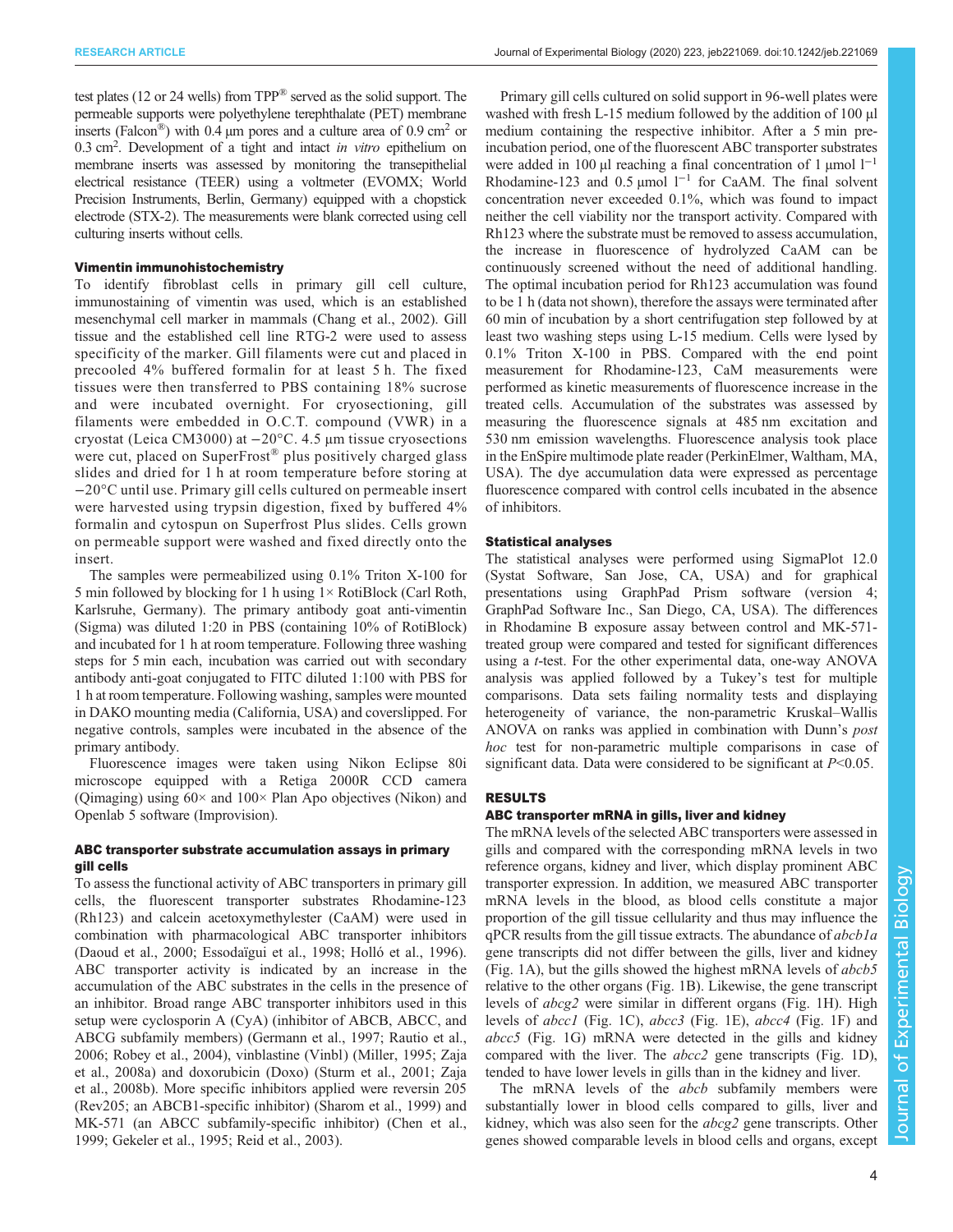test plates (12 or 24 wells) from TPP® served as the solid support. The permeable supports were polyethylene terephthalate (PET) membrane inserts (Falcon<sup>®</sup>) with 0.4 µm pores and a culture area of 0.9 cm<sup>2</sup> or 0.3 cm<sup>2</sup>. Development of a tight and intact *in vitro* epithelium on membrane inserts was assessed by monitoring the transenithelial membrane inserts was assessed by monitoring the transepithelial electrical resistance (TEER) using a voltmeter (EVOMX; World Precision Instruments, Berlin, Germany) equipped with a chopstick electrode (STX-2). The measurements were blank corrected using cell culturing inserts without cells.

#### Vimentin immunohistochemistry

To identify fibroblast cells in primary gill cell culture, immunostaining of vimentin was used, which is an established mesenchymal cell marker in mammals [\(Chang et al., 2002](#page-12-0)). Gill tissue and the established cell line RTG-2 were used to assess specificity of the marker. Gill filaments were cut and placed in precooled 4% buffered formalin for at least 5 h. The fixed tissues were then transferred to PBS containing 18% sucrose and were incubated overnight. For cryosectioning, gill filaments were embedded in O.C.T. compound (VWR) in a cryostat (Leica CM3000) at −20°C. 4.5 µm tissue cryosections were cut, placed on SuperFrost® plus positively charged glass slides and dried for 1 h at room temperature before storing at −20°C until use. Primary gill cells cultured on permeable insert were harvested using trypsin digestion, fixed by buffered 4% formalin and cytospun on Superfrost Plus slides. Cells grown on permeable support were washed and fixed directly onto the insert.

The samples were permeabilized using 0.1% Triton X-100 for 5 min followed by blocking for 1 h using 1× RotiBlock (Carl Roth, Karlsruhe, Germany). The primary antibody goat anti-vimentin (Sigma) was diluted 1:20 in PBS (containing 10% of RotiBlock) and incubated for 1 h at room temperature. Following three washing steps for 5 min each, incubation was carried out with secondary antibody anti-goat conjugated to FITC diluted 1:100 with PBS for 1 h at room temperature. Following washing, samples were mounted in DAKO mounting media (California, USA) and coverslipped. For negative controls, samples were incubated in the absence of the primary antibody.

Fluorescence images were taken using Nikon Eclipse 80i microscope equipped with a Retiga 2000R CCD camera (Qimaging) using 60× and 100× Plan Apo objectives (Nikon) and Openlab 5 software (Improvision).

# ABC transporter substrate accumulation assays in primary gill cells

To assess the functional activity of ABC transporters in primary gill cells, the fluorescent transporter substrates Rhodamine-123 (Rh123) and calcein acetoxymethylester (CaAM) were used in combination with pharmacological ABC transporter inhibitors [\(Daoud et al., 2000](#page-12-0); [Essodaïgui et al., 1998](#page-12-0); [Holló et al., 1996\)](#page-12-0). ABC transporter activity is indicated by an increase in the accumulation of the ABC substrates in the cells in the presence of an inhibitor. Broad range ABC transporter inhibitors used in this setup were cyclosporin A (CyA) (inhibitor of ABCB, ABCC, and ABCG subfamily members) [\(Germann et al., 1997](#page-12-0); [Rautio et al.,](#page-13-0) [2006](#page-13-0); [Robey et al., 2004](#page-13-0)), vinblastine (Vinbl) ([Miller, 1995; Zaja](#page-13-0) [et al., 2008a](#page-13-0)) and doxorubicin (Doxo) [\(Sturm et al., 2001; Zaja](#page-13-0) [et al., 2008b\)](#page-13-0). More specific inhibitors applied were reversin 205 (Rev205; an ABCB1-specific inhibitor) [\(Sharom et al., 1999](#page-13-0)) and MK-571 (an ABCC subfamily-specific inhibitor) ([Chen et al.,](#page-12-0) [1999](#page-12-0); [Gekeler et al., 1995;](#page-12-0) [Reid et al., 2003\)](#page-13-0).

Primary gill cells cultured on solid support in 96-well plates were washed with fresh L-15 medium followed by the addition of 100 µl medium containing the respective inhibitor. After a 5 min preincubation period, one of the fluorescent ABC transporter substrates were added in 100 µl reaching a final concentration of 1 µmol  $1^{-1}$ Rhodamine-123 and 0.5 µmol  $1^{-1}$  for CaAM. The final solvent concentration never exceeded 0.1%, which was found to impact neither the cell viability nor the transport activity. Compared with Rh123 where the substrate must be removed to assess accumulation, the increase in fluorescence of hydrolyzed CaAM can be continuously screened without the need of additional handling. The optimal incubation period for Rh123 accumulation was found to be 1 h (data not shown), therefore the assays were terminated after 60 min of incubation by a short centrifugation step followed by at least two washing steps using L-15 medium. Cells were lysed by 0.1% Triton X-100 in PBS. Compared with the end point measurement for Rhodamine-123, CaM measurements were performed as kinetic measurements of fluorescence increase in the treated cells. Accumulation of the substrates was assessed by measuring the fluorescence signals at 485 nm excitation and 530 nm emission wavelengths. Fluorescence analysis took place in the EnSpire multimode plate reader (PerkinElmer, Waltham, MA, USA). The dye accumulation data were expressed as percentage fluorescence compared with control cells incubated in the absence of inhibitors.

## Statistical analyses

The statistical analyses were performed using SigmaPlot 12.0 (Systat Software, San Jose, CA, USA) and for graphical presentations using GraphPad Prism software (version 4; GraphPad Software Inc., San Diego, CA, USA). The differences in Rhodamine B exposure assay between control and MK-571 treated group were compared and tested for significant differences using a t-test. For the other experimental data, one-way ANOVA analysis was applied followed by a Tukey's test for multiple comparisons. Data sets failing normality tests and displaying heterogeneity of variance, the non-parametric Kruskal–Wallis ANOVA on ranks was applied in combination with Dunn'<sup>s</sup> post hoc test for non-parametric multiple comparisons in case of significant data. Data were considered to be significant at  $P<0.05$ .

# RESULTS

### ABC transporter mRNA in gills, liver and kidney

The mRNA levels of the selected ABC transporters were assessed in gills and compared with the corresponding mRNA levels in two reference organs, kidney and liver, which display prominent ABC transporter expression. In addition, we measured ABC transporter mRNA levels in the blood, as blood cells constitute a major proportion of the gill tissue cellularity and thus may influence the qPCR results from the gill tissue extracts. The abundance of abcb1a gene transcripts did not differ between the gills, liver and kidney [\(Fig. 1A](#page-4-0)), but the gills showed the highest mRNA levels of abcb5 relative to the other organs ([Fig. 1B](#page-4-0)). Likewise, the gene transcript levels of abcg2 were similar in different organs ([Fig. 1](#page-4-0)H). High levels of abcc1 [\(Fig. 1C](#page-4-0)), abcc3 ([Fig. 1](#page-4-0)E), abcc4 ([Fig. 1](#page-4-0)F) and abcc5 [\(Fig. 1G](#page-4-0)) mRNA were detected in the gills and kidney compared with the liver. The abcc2 gene transcripts ([Fig. 1D](#page-4-0)), tended to have lower levels in gills than in the kidney and liver.

The mRNA levels of the *abcb* subfamily members were substantially lower in blood cells compared to gills, liver and kidney, which was also seen for the abcg2 gene transcripts. Other genes showed comparable levels in blood cells and organs, except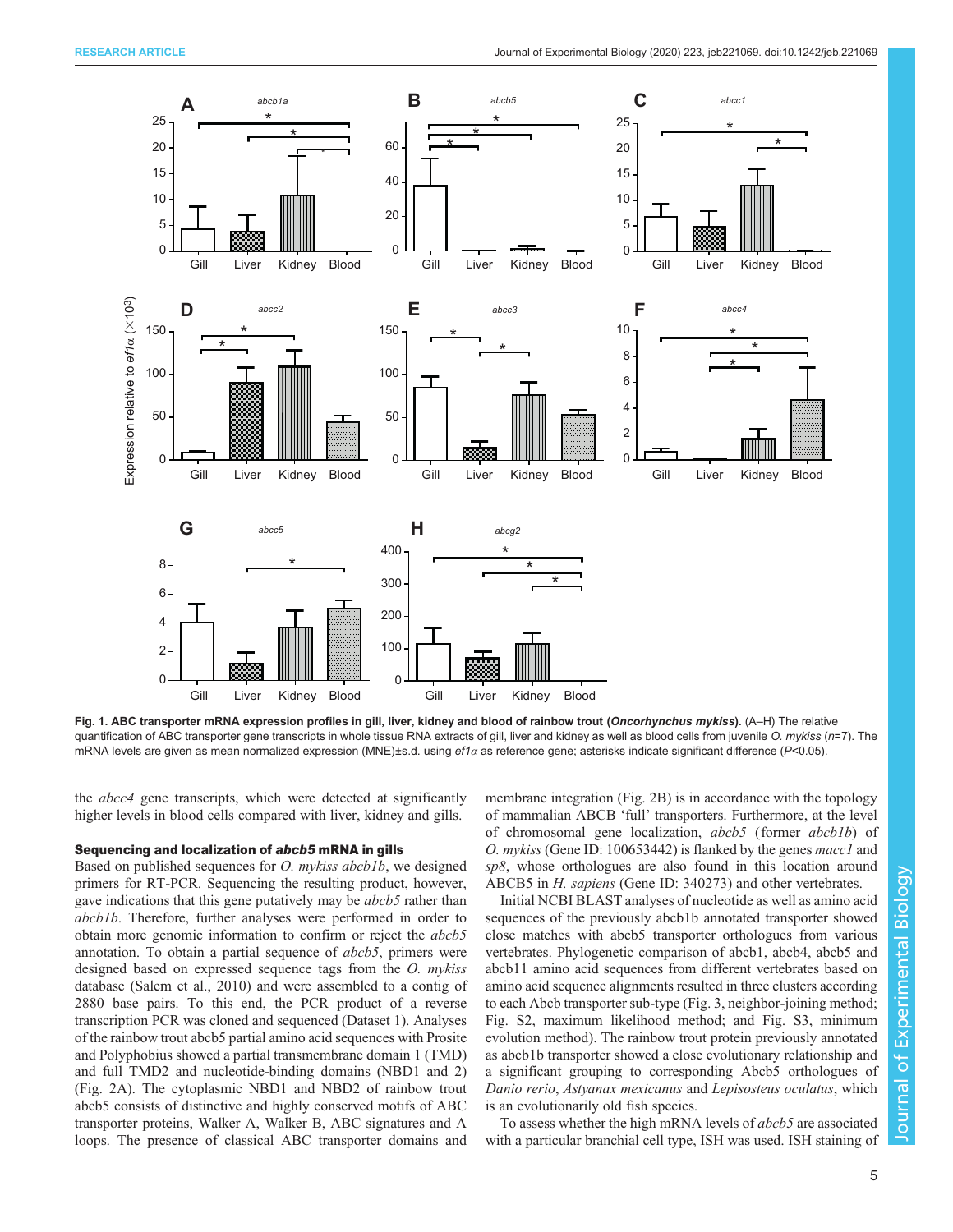<span id="page-4-0"></span>

Fig. 1. ABC transporter mRNA expression profiles in gill, liver, kidney and blood of rainbow trout (Oncorhynchus mykiss). (A-H) The relative quantification of ABC transporter gene transcripts in whole tissue RNA extracts of gill, liver and kidney as well as blood cells from juvenile O. mykiss (n=7). The mRNA levels are given as mean normalized expression (MNE)±s.d. using ef1α as reference gene; asterisks indicate significant difference (P<0.05).

the abcc4 gene transcripts, which were detected at significantly higher levels in blood cells compared with liver, kidney and gills.

#### Sequencing and localization of abcb5 mRNA in gills

Based on published sequences for *O. mykiss abcb1b*, we designed primers for RT-PCR. Sequencing the resulting product, however, gave indications that this gene putatively may be *abcb5* rather than abcb1b. Therefore, further analyses were performed in order to obtain more genomic information to confirm or reject the abcb5 annotation. To obtain a partial sequence of abcb5, primers were designed based on expressed sequence tags from the O. mykiss database ([Salem et al., 2010](#page-13-0)) and were assembled to a contig of 2880 base pairs. To this end, the PCR product of a reverse transcription PCR was cloned and sequenced ([Dataset 1\)](http://dx.doi.org/10.1242/jeb.221069). Analyses of the rainbow trout abcb5 partial amino acid sequences with Prosite and Polyphobius showed a partial transmembrane domain 1 (TMD) and full TMD2 and nucleotide-binding domains (NBD1 and 2) [\(Fig. 2A](#page-5-0)). The cytoplasmic NBD1 and NBD2 of rainbow trout abcb5 consists of distinctive and highly conserved motifs of ABC transporter proteins, Walker A, Walker B, ABC signatures and A loops. The presence of classical ABC transporter domains and membrane integration ([Fig. 2](#page-5-0)B) is in accordance with the topology of mammalian ABCB 'full' transporters. Furthermore, at the level of chromosomal gene localization, abcb5 (former abcb1b) of O. mykiss (Gene ID: 100653442) is flanked by the genes macc1 and sp8, whose orthologues are also found in this location around ABCB5 in *H. sapiens* (Gene ID: 340273) and other vertebrates.

Initial NCBI BLAST analyses of nucleotide as well as amino acid sequences of the previously abcb1b annotated transporter showed close matches with abcb5 transporter orthologues from various vertebrates. Phylogenetic comparison of abcb1, abcb4, abcb5 and abcb11 amino acid sequences from different vertebrates based on amino acid sequence alignments resulted in three clusters according to each Abcb transporter sub-type [\(Fig. 3,](#page-6-0) neighbor-joining method; [Fig. S2,](https://jeb.biologists.org/lookup/doi/10.1242/jeb.221069.supplemental) maximum likelihood method; and [Fig. S3,](https://jeb.biologists.org/lookup/doi/10.1242/jeb.221069.supplemental) minimum evolution method). The rainbow trout protein previously annotated as abcb1b transporter showed a close evolutionary relationship and a significant grouping to corresponding Abcb5 orthologues of Danio rerio, Astyanax mexicanus and Lepisosteus oculatus, which is an evolutionarily old fish species.

To assess whether the high mRNA levels of *abcb5* are associated with a particular branchial cell type, ISH was used. ISH staining of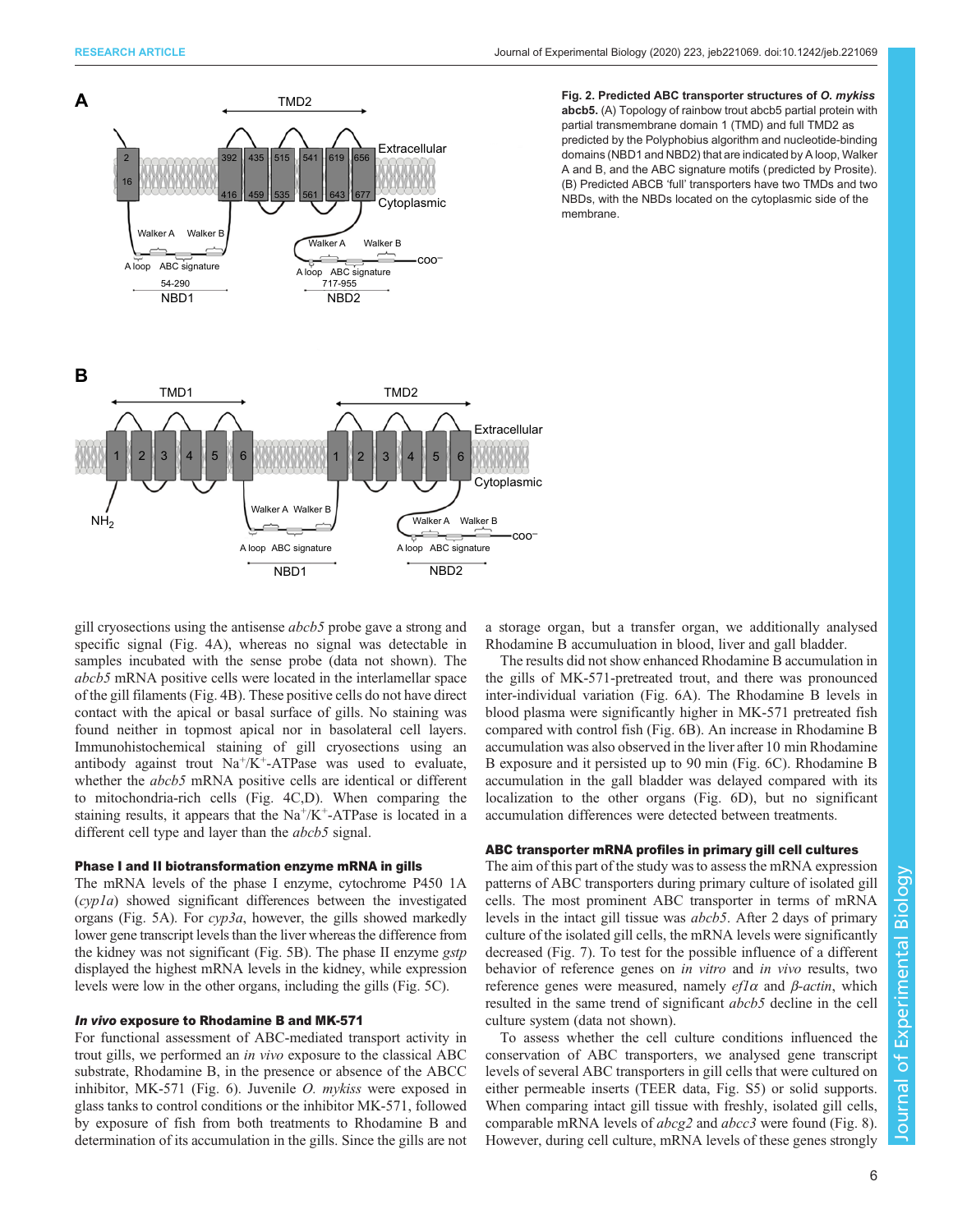<span id="page-5-0"></span>

Fig. 2. Predicted ABC transporter structures of O. mykiss abcb5. (A) Topology of rainbow trout abcb5 partial protein with partial transmembrane domain 1 (TMD) and full TMD2 as predicted by the Polyphobius algorithm and nucleotide-binding domains (NBD1 and NBD2) that are indicated by A loop, Walker A and B, and the ABC signature motifs (predicted by Prosite). (B) Predicted ABCB 'full' transporters have two TMDs and two NBDs, with the NBDs located on the cytoplasmic side of the membrane.

gill cryosections using the antisense abcb5 probe gave a strong and specific signal [\(Fig. 4A](#page-7-0)), whereas no signal was detectable in samples incubated with the sense probe (data not shown). The abcb5 mRNA positive cells were located in the interlamellar space of the gill filaments ([Fig. 4](#page-7-0)B). These positive cells do not have direct contact with the apical or basal surface of gills. No staining was found neither in topmost apical nor in basolateral cell layers. Immunohistochemical staining of gill cryosections using an antibody against trout  $Na^+/K^+$ -ATPase was used to evaluate, whether the *abcb5* mRNA positive cells are identical or different to mitochondria-rich cells [\(Fig. 4C](#page-7-0),D). When comparing the staining results, it appears that the  $Na^+/K^+$ -ATPase is located in a different cell type and layer than the *abcb5* signal.

## Phase I and II biotransformation enzyme mRNA in gills

The mRNA levels of the phase I enzyme, cytochrome P450 1A (cyp1a) showed significant differences between the investigated organs [\(Fig. 5](#page-7-0)A). For cyp3a, however, the gills showed markedly lower gene transcript levels than the liver whereas the difference from the kidney was not significant ([Fig. 5B](#page-7-0)). The phase II enzyme gstp displayed the highest mRNA levels in the kidney, while expression levels were low in the other organs, including the gills [\(Fig. 5](#page-7-0)C).

#### In vivo exposure to Rhodamine B and MK-571

For functional assessment of ABC-mediated transport activity in trout gills, we performed an in vivo exposure to the classical ABC substrate, Rhodamine B, in the presence or absence of the ABCC inhibitor, MK-571 [\(Fig. 6\)](#page-8-0). Juvenile *O. mykiss* were exposed in glass tanks to control conditions or the inhibitor MK-571, followed by exposure of fish from both treatments to Rhodamine B and determination of its accumulation in the gills. Since the gills are not a storage organ, but a transfer organ, we additionally analysed Rhodamine B accumuluation in blood, liver and gall bladder.

The results did not show enhanced Rhodamine B accumulation in the gills of MK-571-pretreated trout, and there was pronounced inter-individual variation ([Fig. 6](#page-8-0)A). The Rhodamine B levels in blood plasma were significantly higher in MK-571 pretreated fish compared with control fish ([Fig. 6B](#page-8-0)). An increase in Rhodamine B accumulation was also observed in the liver after 10 min Rhodamine B exposure and it persisted up to 90 min ([Fig. 6](#page-8-0)C). Rhodamine B accumulation in the gall bladder was delayed compared with its localization to the other organs [\(Fig. 6](#page-8-0)D), but no significant accumulation differences were detected between treatments.

# ABC transporter mRNA profiles in primary gill cell cultures

The aim of this part of the study was to assess the mRNA expression patterns of ABC transporters during primary culture of isolated gill cells. The most prominent ABC transporter in terms of mRNA levels in the intact gill tissue was abcb5. After 2 days of primary culture of the isolated gill cells, the mRNA levels were significantly decreased ([Fig. 7](#page-8-0)). To test for the possible influence of a different behavior of reference genes on in vitro and in vivo results, two reference genes were measured, namely  $efl\alpha$  and  $\beta$ -actin, which resulted in the same trend of significant abcb5 decline in the cell culture system (data not shown).

To assess whether the cell culture conditions influenced the conservation of ABC transporters, we analysed gene transcript levels of several ABC transporters in gill cells that were cultured on either permeable inserts (TEER data, [Fig. S5](https://jeb.biologists.org/lookup/doi/10.1242/jeb.221069.supplemental)) or solid supports. When comparing intact gill tissue with freshly, isolated gill cells, comparable mRNA levels of abcg2 and abcc3 were found [\(Fig. 8\)](#page-9-0). However, during cell culture, mRNA levels of these genes strongly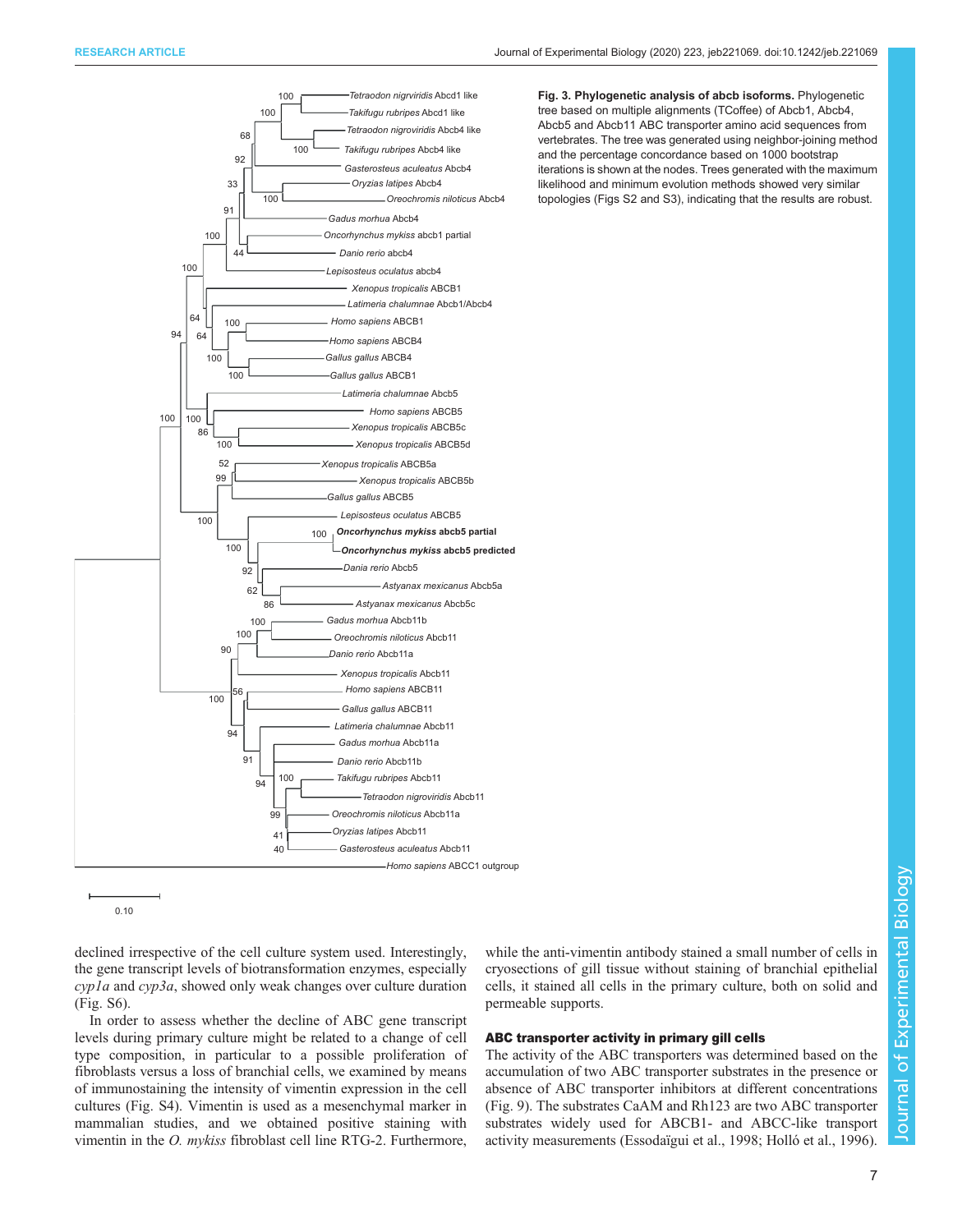<span id="page-6-0"></span>

Fig. 3. Phylogenetic analysis of abcb isoforms. Phylogenetic tree based on multiple alignments (TCoffee) of Abcb1, Abcb4, Abcb5 and Abcb11 ABC transporter amino acid sequences from vertebrates. The tree was generated using neighbor-joining method and the percentage concordance based on 1000 bootstrap iterations is shown at the nodes. Trees generated with the maximum likelihood and minimum evolution methods showed very similar topologies [\(Figs S2 and S3](https://jeb.biologists.org/lookup/doi/10.1242/jeb.221069.supplemental)), indicating that the results are robust.

0.10

declined irrespective of the cell culture system used. Interestingly, the gene transcript levels of biotransformation enzymes, especially cyp1a and cyp3a, showed only weak changes over culture duration [\(Fig. S6\)](https://jeb.biologists.org/lookup/doi/10.1242/jeb.221069.supplemental).

In order to assess whether the decline of ABC gene transcript levels during primary culture might be related to a change of cell type composition, in particular to a possible proliferation of fibroblasts versus a loss of branchial cells, we examined by means of immunostaining the intensity of vimentin expression in the cell cultures ([Fig. S4](https://jeb.biologists.org/lookup/doi/10.1242/jeb.221069.supplemental)). Vimentin is used as a mesenchymal marker in mammalian studies, and we obtained positive staining with vimentin in the O. mykiss fibroblast cell line RTG-2. Furthermore,

while the anti-vimentin antibody stained a small number of cells in cryosections of gill tissue without staining of branchial epithelial cells, it stained all cells in the primary culture, both on solid and permeable supports.

# ABC transporter activity in primary gill cells

The activity of the ABC transporters was determined based on the accumulation of two ABC transporter substrates in the presence or absence of ABC transporter inhibitors at different concentrations [\(Fig. 9](#page-10-0)). The substrates CaAM and Rh123 are two ABC transporter substrates widely used for ABCB1- and ABCC-like transport activity measurements [\(Essodaïgui et al., 1998; Holló et al., 1996\)](#page-12-0).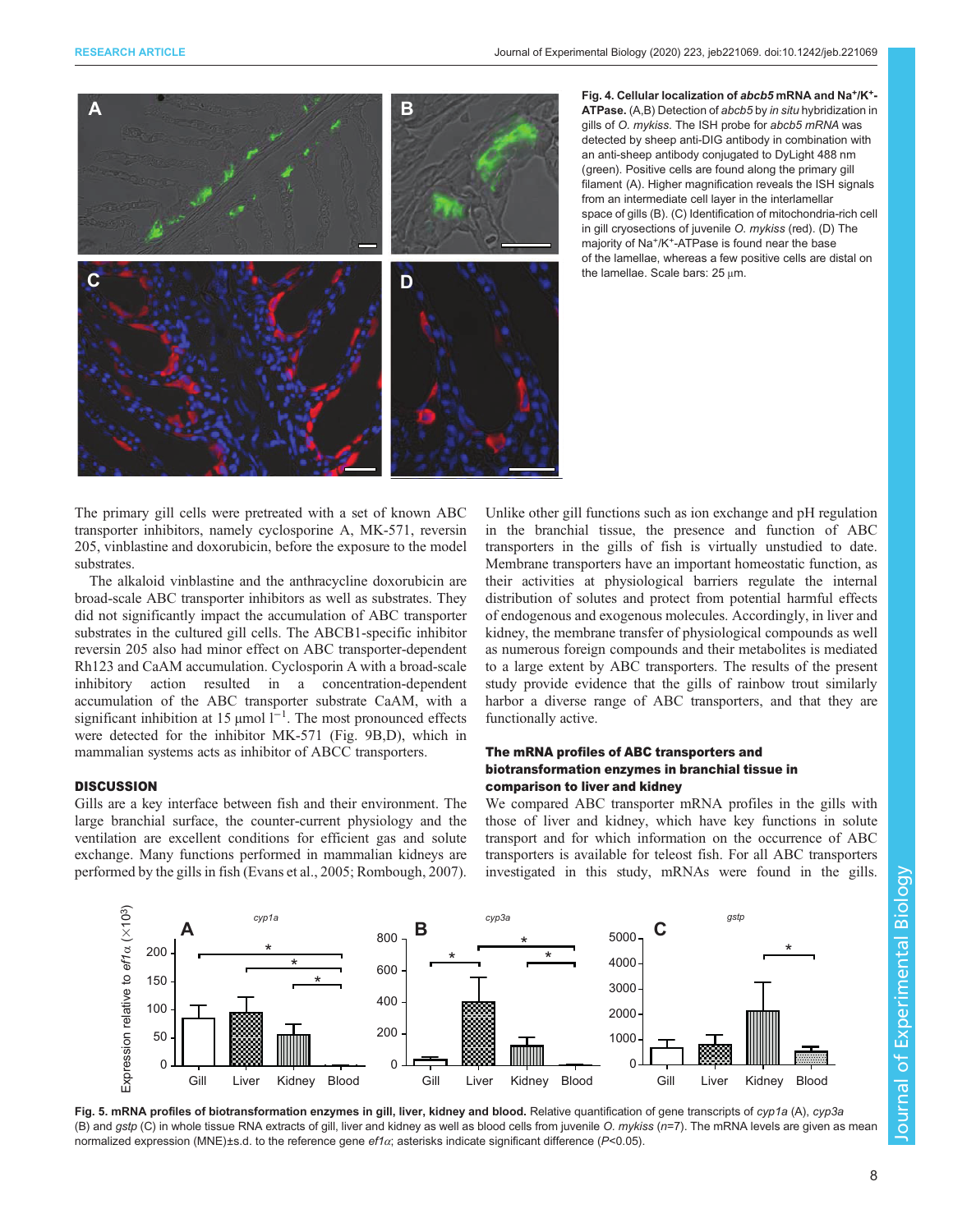<span id="page-7-0"></span>

Fig. 4. Cellular localization of abcb5 mRNA and Na<sup>+</sup>/K<sup>+</sup>-ATPase. (A,B) Detection of abcb5 by in situ hybridization in gills of O. mykiss. The ISH probe for abcb5 mRNA was detected by sheep anti-DIG antibody in combination with an anti-sheep antibody conjugated to DyLight 488 nm (green). Positive cells are found along the primary gill filament (A). Higher magnification reveals the ISH signals from an intermediate cell layer in the interlamellar space of gills (B). (C) Identification of mitochondria-rich cell in gill cryosections of juvenile O. mykiss (red). (D) The majority of Na<sup>+</sup>/K<sup>+</sup>-ATPase is found near the base of the lamellae, whereas a few positive cells are distal on the lamellae. Scale bars: 25 μm.

The primary gill cells were pretreated with a set of known ABC transporter inhibitors, namely cyclosporine A, MK-571, reversin 205, vinblastine and doxorubicin, before the exposure to the model substrates.

The alkaloid vinblastine and the anthracycline doxorubicin are broad-scale ABC transporter inhibitors as well as substrates. They did not significantly impact the accumulation of ABC transporter substrates in the cultured gill cells. The ABCB1-specific inhibitor reversin 205 also had minor effect on ABC transporter-dependent Rh123 and CaAM accumulation. Cyclosporin A with a broad-scale inhibitory action resulted in a concentration-dependent accumulation of the ABC transporter substrate CaAM, with a significant inhibition at 15 µmol  $l^{-1}$ . The most pronounced effects were detected for the inhibitor MK-571 [\(Fig. 9](#page-10-0)B,D), which in mammalian systems acts as inhibitor of ABCC transporters.

# **DISCUSSION**

Gills are a key interface between fish and their environment. The large branchial surface, the counter-current physiology and the ventilation are excellent conditions for efficient gas and solute exchange. Many functions performed in mammalian kidneys are performed by the gills in fish [\(Evans et al., 2005;](#page-12-0) [Rombough, 2007\)](#page-13-0).

Unlike other gill functions such as ion exchange and pH regulation in the branchial tissue, the presence and function of ABC transporters in the gills of fish is virtually unstudied to date. Membrane transporters have an important homeostatic function, as their activities at physiological barriers regulate the internal distribution of solutes and protect from potential harmful effects of endogenous and exogenous molecules. Accordingly, in liver and kidney, the membrane transfer of physiological compounds as well as numerous foreign compounds and their metabolites is mediated to a large extent by ABC transporters. The results of the present study provide evidence that the gills of rainbow trout similarly harbor a diverse range of ABC transporters, and that they are functionally active.

# The mRNA profiles of ABC transporters and biotransformation enzymes in branchial tissue in comparison to liver and kidney

We compared ABC transporter mRNA profiles in the gills with those of liver and kidney, which have key functions in solute transport and for which information on the occurrence of ABC transporters is available for teleost fish. For all ABC transporters investigated in this study, mRNAs were found in the gills.



Fig. 5. mRNA profiles of biotransformation enzymes in gill, liver, kidney and blood. Relative quantification of gene transcripts of cyp1a (A), cyp3a (B) and  $gstp$  (C) in whole tissue RNA extracts of gill, liver and kidney as well as blood cells from juvenile O.  $m\gamma$ kiss ( $n=7$ ). The mRNA levels are given as mean normalized expression (MNE)±s.d. to the reference gene ef1α; asterisks indicate significant difference (P<0.05).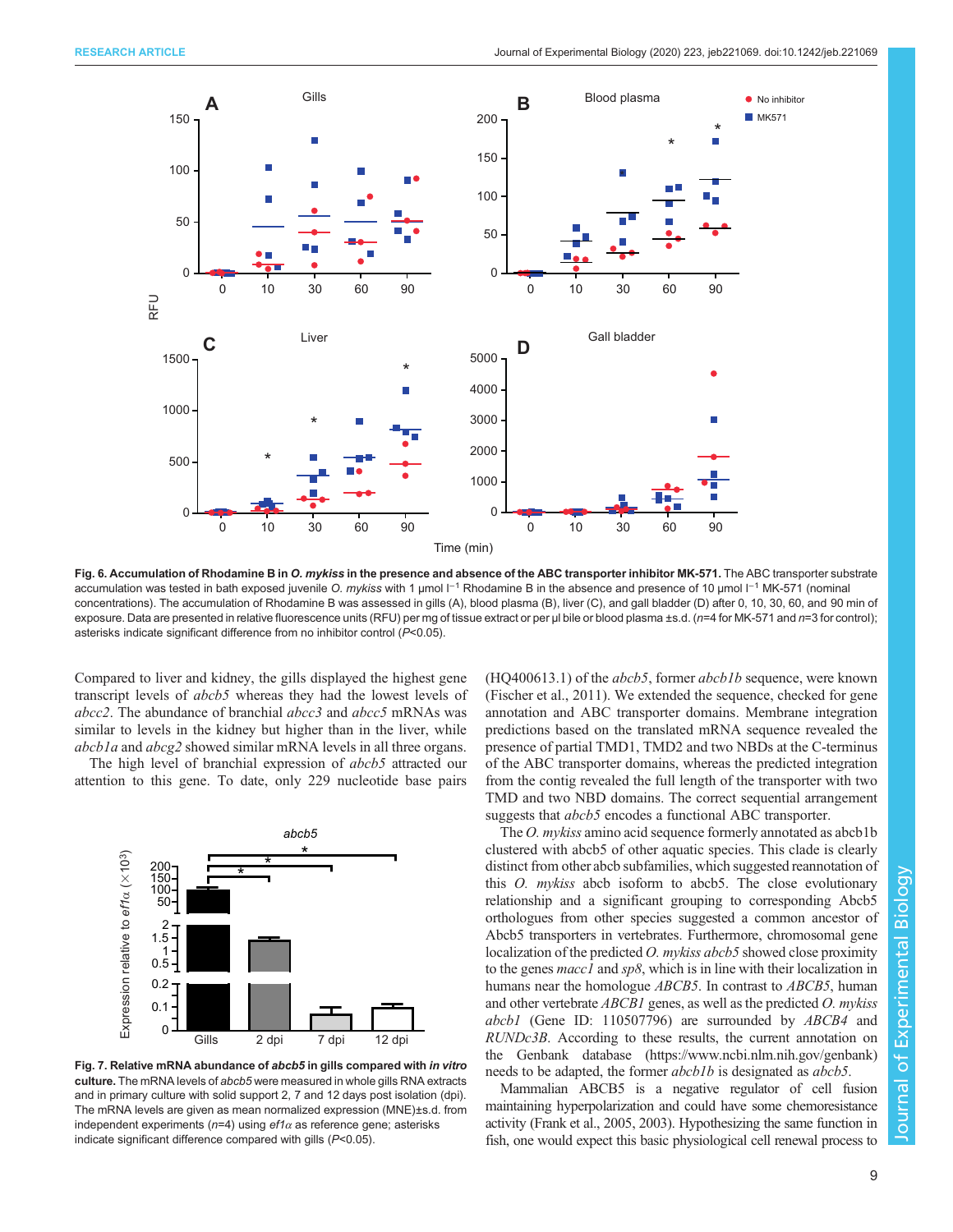<span id="page-8-0"></span>

Fig. 6. Accumulation of Rhodamine B in O. mykiss in the presence and absence of the ABC transporter inhibitor MK-571. The ABC transporter substrate accumulation was tested in bath exposed juvenile O. mykiss with 1 µmol l<sup>-1</sup> Rhodamine B in the absence and presence of 10 µmol l<sup>-1</sup> MK-571 (nominal concentrations). The accumulation of Rhodamine B was assessed in gills (A), blood plasma (B), liver (C), and gall bladder (D) after 0, 10, 30, 60, and 90 min of exposure. Data are presented in relative fluorescence units (RFU) per mg of tissue extract or per µl bile or blood plasma  $\pm$ s.d. (n=4 for MK-571 and n=3 for control); asterisks indicate significant difference from no inhibitor control (P<0.05).

Compared to liver and kidney, the gills displayed the highest gene transcript levels of abcb5 whereas they had the lowest levels of abcc2. The abundance of branchial abcc3 and abcc5 mRNAs was similar to levels in the kidney but higher than in the liver, while abcb1a and abcg2 showed similar mRNA levels in all three organs.

The high level of branchial expression of *abcb5* attracted our attention to this gene. To date, only 229 nucleotide base pairs



Fig. 7. Relative mRNA abundance of abcb5 in gills compared with in vitro culture. The mRNA levels of abcb5 were measured in whole gills RNA extracts and in primary culture with solid support 2, 7 and 12 days post isolation (dpi). The mRNA levels are given as mean normalized expression (MNE)±s.d. from independent experiments ( $n=4$ ) using ef1 $\alpha$  as reference gene; asterisks indicate significant difference compared with gills (P<0.05).

 $(HQ400613.1)$  of the *abcb5*, former *abcb1b* sequence, were known [\(Fischer et al., 2011](#page-12-0)). We extended the sequence, checked for gene annotation and ABC transporter domains. Membrane integration predictions based on the translated mRNA sequence revealed the presence of partial TMD1, TMD2 and two NBDs at the C-terminus of the ABC transporter domains, whereas the predicted integration from the contig revealed the full length of the transporter with two TMD and two NBD domains. The correct sequential arrangement suggests that *abcb5* encodes a functional ABC transporter.

The *O. mykiss* amino acid sequence formerly annotated as abcb1b clustered with abcb5 of other aquatic species. This clade is clearly distinct from other abcb subfamilies, which suggested reannotation of this O. mykiss abcb isoform to abcb5. The close evolutionary relationship and a significant grouping to corresponding Abcb5 orthologues from other species suggested a common ancestor of Abcb5 transporters in vertebrates. Furthermore, chromosomal gene localization of the predicted *O. mykiss abcb5* showed close proximity to the genes macc1 and sp8, which is in line with their localization in humans near the homologue *ABCB5*. In contrast to *ABCB5*, human and other vertebrate  $ABCB1$  genes, as well as the predicted  $O$ . mykiss abcb1 (Gene ID: 110507796) are surrounded by ABCB4 and RUNDc3B. According to these results, the current annotation on the Genbank database ([https://www.ncbi.nlm.nih.gov/genbank\)](https://www.ncbi.nlm.nih.gov/genbank) needs to be adapted, the former *abcb1b* is designated as *abcb5*.

Mammalian ABCB5 is a negative regulator of cell fusion maintaining hyperpolarization and could have some chemoresistance activity [\(Frank et al., 2005](#page-12-0), [2003\)](#page-12-0). Hypothesizing the same function in fish, one would expect this basic physiological cell renewal process to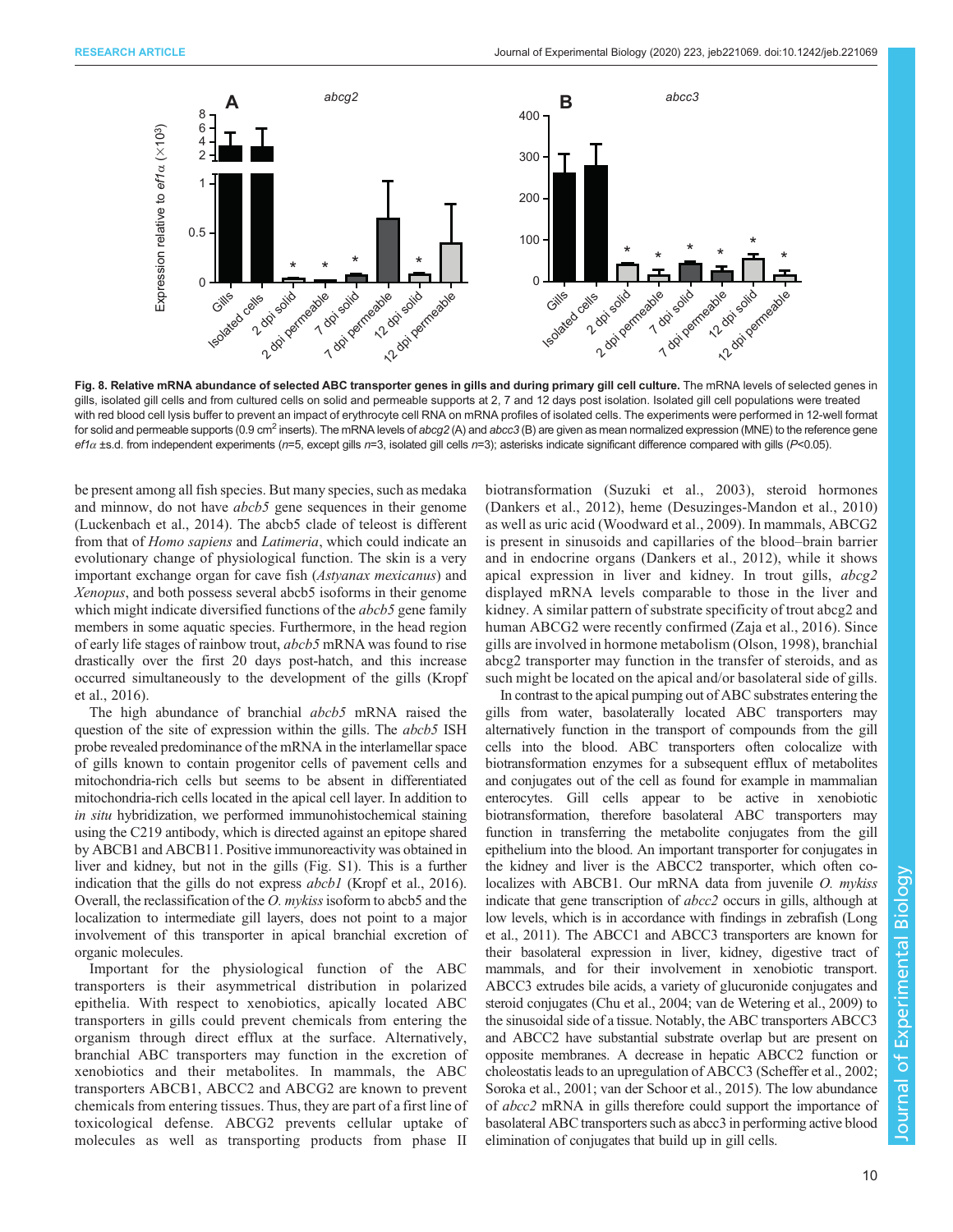<span id="page-9-0"></span>

Fig. 8. Relative mRNA abundance of selected ABC transporter genes in gills and during primary gill cell culture. The mRNA levels of selected genes in gills, isolated gill cells and from cultured cells on solid and permeable supports at 2, 7 and 12 days post isolation. Isolated gill cell populations were treated with red blood cell lysis buffer to prevent an impact of erythrocyte cell RNA on mRNA profiles of isolated cells. The experiments were performed in 12-well format for solid and permeable supports (0.9 cm<sup>2</sup> inserts). The mRNA levels of abcg2 (A) and abcc3 (B) are given as mean normalized expression (MNE) to the reference gene  $eft\alpha$  ±s.d. from independent experiments (n=5, except gills n=3, isolated gill cells n=3); asterisks indicate significant difference compared with gills (P<0.05).

be present among all fish species. But many species, such as medaka and minnow, do not have *abcb*<sup>5</sup> gene sequences in their genome [\(Luckenbach et al., 2014](#page-13-0)). The abcb5 clade of teleost is different from that of Homo sapiens and Latimeria, which could indicate an evolutionary change of physiological function. The skin is a very important exchange organ for cave fish (Astyanax mexicanus) and Xenopus, and both possess several abcb5 isoforms in their genome which might indicate diversified functions of the *abcb5* gene family members in some aquatic species. Furthermore, in the head region of early life stages of rainbow trout, abcb5 mRNA was found to rise drastically over the first 20 days post-hatch, and this increase occurred simultaneously to the development of the gills ([Kropf](#page-12-0) [et al., 2016\)](#page-12-0).

The high abundance of branchial *abcb5* mRNA raised the question of the site of expression within the gills. The *abcb5* ISH probe revealed predominance of the mRNA in the interlamellar space of gills known to contain progenitor cells of pavement cells and mitochondria-rich cells but seems to be absent in differentiated mitochondria-rich cells located in the apical cell layer. In addition to in situ hybridization, we performed immunohistochemical staining using the C219 antibody, which is directed against an epitope shared by ABCB1 and ABCB11. Positive immunoreactivity was obtained in liver and kidney, but not in the gills [\(Fig. S1\)](https://jeb.biologists.org/lookup/doi/10.1242/jeb.221069.supplemental). This is a further indication that the gills do not express *abcb1* [\(Kropf et al., 2016\)](#page-12-0). Overall, the reclassification of the  $O.$  mykiss isoform to abcb5 and the localization to intermediate gill layers, does not point to a major involvement of this transporter in apical branchial excretion of organic molecules.

Important for the physiological function of the ABC transporters is their asymmetrical distribution in polarized epithelia. With respect to xenobiotics, apically located ABC transporters in gills could prevent chemicals from entering the organism through direct efflux at the surface. Alternatively, branchial ABC transporters may function in the excretion of xenobiotics and their metabolites. In mammals, the ABC transporters ABCB1, ABCC2 and ABCG2 are known to prevent chemicals from entering tissues. Thus, they are part of a first line of toxicological defense. ABCG2 prevents cellular uptake of molecules as well as transporting products from phase II

biotransformation [\(Suzuki et al., 2003](#page-13-0)), steroid hormones [\(Dankers et al., 2012\)](#page-12-0), heme [\(Desuzinges-Mandon et al., 2010\)](#page-12-0) as well as uric acid ([Woodward et al., 2009\)](#page-13-0). In mammals, ABCG2 is present in sinusoids and capillaries of the blood–brain barrier and in endocrine organs [\(Dankers et al., 2012\)](#page-12-0), while it shows apical expression in liver and kidney. In trout gills, abcg2 displayed mRNA levels comparable to those in the liver and kidney. A similar pattern of substrate specificity of trout abcg2 and human ABCG2 were recently confirmed ([Zaja et al., 2016\)](#page-13-0). Since gills are involved in hormone metabolism [\(Olson, 1998](#page-13-0)), branchial abcg2 transporter may function in the transfer of steroids, and as such might be located on the apical and/or basolateral side of gills.

In contrast to the apical pumping out of ABC substrates entering the gills from water, basolaterally located ABC transporters may alternatively function in the transport of compounds from the gill cells into the blood. ABC transporters often colocalize with biotransformation enzymes for a subsequent efflux of metabolites and conjugates out of the cell as found for example in mammalian enterocytes. Gill cells appear to be active in xenobiotic biotransformation, therefore basolateral ABC transporters may function in transferring the metabolite conjugates from the gill epithelium into the blood. An important transporter for conjugates in the kidney and liver is the ABCC2 transporter, which often colocalizes with ABCB1. Our mRNA data from juvenile O. mykiss indicate that gene transcription of abcc2 occurs in gills, although at low levels, which is in accordance with findings in zebrafish [\(Long](#page-12-0) [et al., 2011\)](#page-12-0). The ABCC1 and ABCC3 transporters are known for their basolateral expression in liver, kidney, digestive tract of mammals, and for their involvement in xenobiotic transport. ABCC3 extrudes bile acids, a variety of glucuronide conjugates and steroid conjugates [\(Chu et al., 2004](#page-12-0); [van de Wetering et al., 2009](#page-13-0)) to the sinusoidal side of a tissue. Notably, the ABC transporters ABCC3 and ABCC2 have substantial substrate overlap but are present on opposite membranes. A decrease in hepatic ABCC2 function or choleostatis leads to an upregulation of ABCC3 [\(Scheffer et al., 2002](#page-13-0); [Soroka et al., 2001](#page-13-0); [van der Schoor et al., 2015](#page-13-0)). The low abundance of abcc2 mRNA in gills therefore could support the importance of basolateral ABC transporters such as abcc3 in performing active blood elimination of conjugates that build up in gill cells.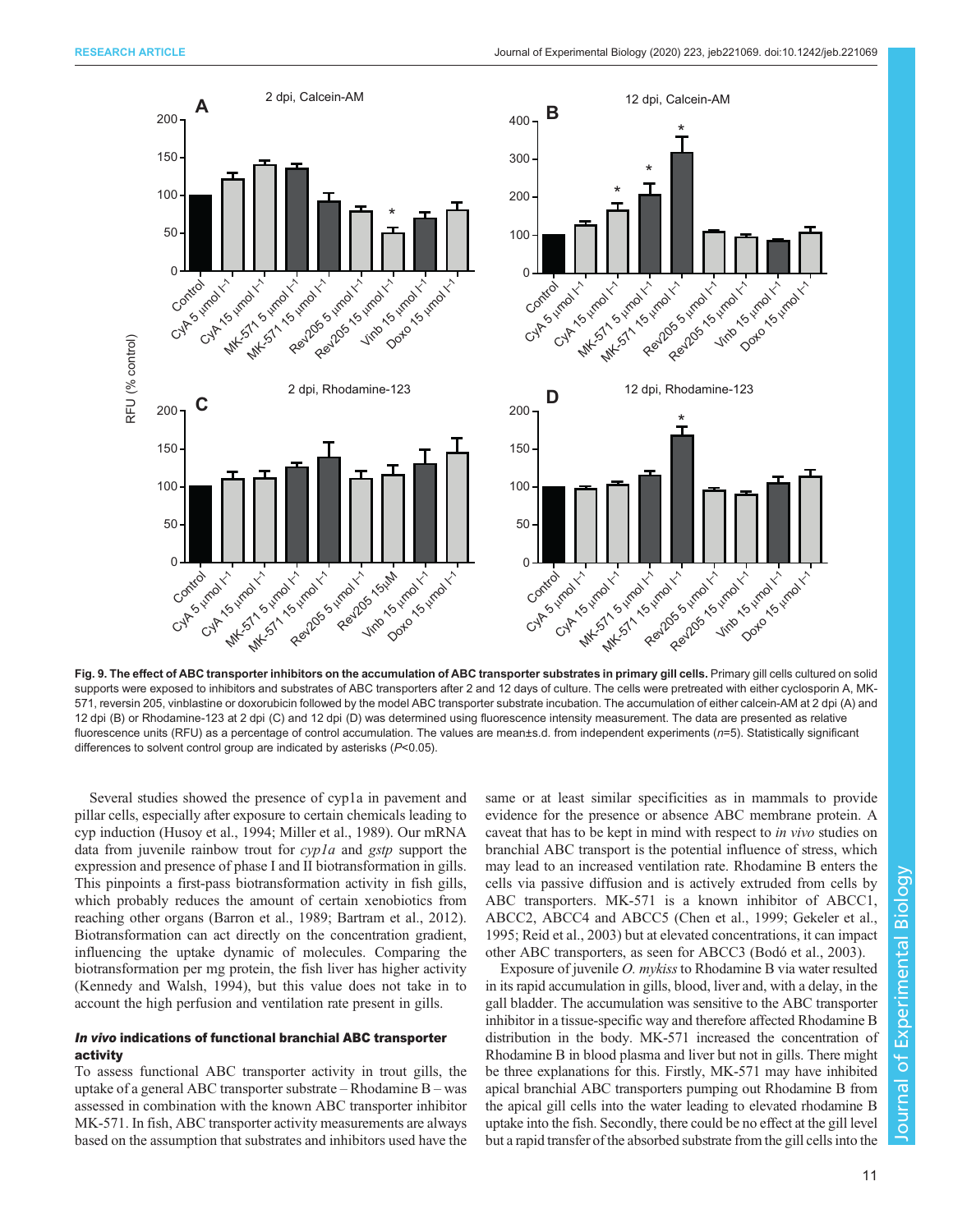<span id="page-10-0"></span>

Fig. 9. The effect of ABC transporter inhibitors on the accumulation of ABC transporter substrates in primary gill cells. Primary gill cells cultured on solid supports were exposed to inhibitors and substrates of ABC transporters after 2 and 12 days of culture. The cells were pretreated with either cyclosporin A, MK-571, reversin 205, vinblastine or doxorubicin followed by the model ABC transporter substrate incubation. The accumulation of either calcein-AM at 2 dpi (A) and 12 dpi (B) or Rhodamine-123 at 2 dpi (C) and 12 dpi (D) was determined using fluorescence intensity measurement. The data are presented as relative fluorescence units (RFU) as a percentage of control accumulation. The values are mean±s.d. from independent experiments (n=5). Statistically significant differences to solvent control group are indicated by asterisks (P<0.05).

Several studies showed the presence of cyp1a in pavement and pillar cells, especially after exposure to certain chemicals leading to cyp induction [\(Husoy et al., 1994;](#page-12-0) [Miller et al., 1989\)](#page-13-0). Our mRNA data from juvenile rainbow trout for *cypla* and *gstp* support the expression and presence of phase I and II biotransformation in gills. This pinpoints a first-pass biotransformation activity in fish gills, which probably reduces the amount of certain xenobiotics from reaching other organs [\(Barron et al., 1989; Bartram et al., 2012\)](#page-12-0). Biotransformation can act directly on the concentration gradient, influencing the uptake dynamic of molecules. Comparing the biotransformation per mg protein, the fish liver has higher activity [\(Kennedy and Walsh, 1994](#page-12-0)), but this value does not take in to account the high perfusion and ventilation rate present in gills.

## In vivo indications of functional branchial ABC transporter activity

To assess functional ABC transporter activity in trout gills, the uptake of a general ABC transporter substrate – Rhodamine B – was assessed in combination with the known ABC transporter inhibitor MK-571. In fish, ABC transporter activity measurements are always based on the assumption that substrates and inhibitors used have the same or at least similar specificities as in mammals to provide evidence for the presence or absence ABC membrane protein. A caveat that has to be kept in mind with respect to in vivo studies on branchial ABC transport is the potential influence of stress, which may lead to an increased ventilation rate. Rhodamine B enters the cells via passive diffusion and is actively extruded from cells by ABC transporters. MK-571 is a known inhibitor of ABCC1, ABCC2, ABCC4 and ABCC5 [\(Chen et al., 1999; Gekeler et al.,](#page-12-0) [1995;](#page-12-0) [Reid et al., 2003\)](#page-13-0) but at elevated concentrations, it can impact other ABC transporters, as seen for ABCC3 [\(Bodó et al., 2003\)](#page-12-0).

Exposure of juvenile O. mykiss to Rhodamine B via water resulted in its rapid accumulation in gills, blood, liver and, with a delay, in the gall bladder. The accumulation was sensitive to the ABC transporter inhibitor in a tissue-specific way and therefore affected Rhodamine B distribution in the body. MK-571 increased the concentration of Rhodamine B in blood plasma and liver but not in gills. There might be three explanations for this. Firstly, MK-571 may have inhibited apical branchial ABC transporters pumping out Rhodamine B from the apical gill cells into the water leading to elevated rhodamine B uptake into the fish. Secondly, there could be no effect at the gill level but a rapid transfer of the absorbed substrate from the gill cells into the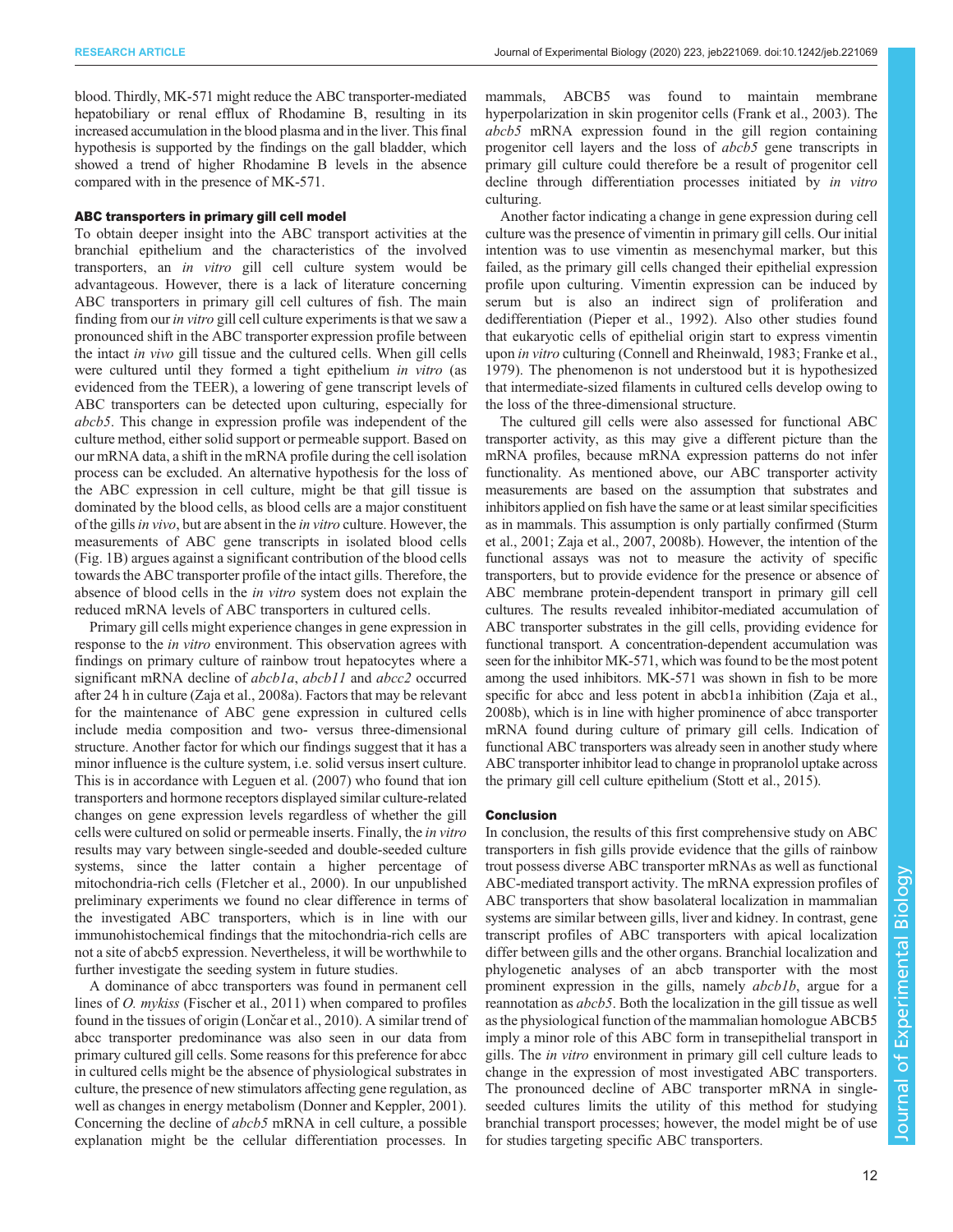blood. Thirdly, MK-571 might reduce the ABC transporter-mediated hepatobiliary or renal efflux of Rhodamine B, resulting in its increased accumulation in the blood plasma and in the liver. This final hypothesis is supported by the findings on the gall bladder, which showed a trend of higher Rhodamine B levels in the absence compared with in the presence of MK-571.

#### ABC transporters in primary gill cell model

To obtain deeper insight into the ABC transport activities at the branchial epithelium and the characteristics of the involved transporters, an in vitro gill cell culture system would be advantageous. However, there is a lack of literature concerning ABC transporters in primary gill cell cultures of fish. The main finding from our in vitro gill cell culture experiments is that we saw a pronounced shift in the ABC transporter expression profile between the intact in vivo gill tissue and the cultured cells. When gill cells were cultured until they formed a tight epithelium in vitro (as evidenced from the TEER), a lowering of gene transcript levels of ABC transporters can be detected upon culturing, especially for abcb5. This change in expression profile was independent of the culture method, either solid support or permeable support. Based on our mRNA data, a shift in the mRNA profile during the cell isolation process can be excluded. An alternative hypothesis for the loss of the ABC expression in cell culture, might be that gill tissue is dominated by the blood cells, as blood cells are a major constituent of the gills *in vivo*, but are absent in the *in vitro* culture. However, the measurements of ABC gene transcripts in isolated blood cells [\(Fig. 1B](#page-4-0)) argues against a significant contribution of the blood cells towards the ABC transporter profile of the intact gills. Therefore, the absence of blood cells in the in vitro system does not explain the reduced mRNA levels of ABC transporters in cultured cells.

Primary gill cells might experience changes in gene expression in response to the *in vitro* environment. This observation agrees with findings on primary culture of rainbow trout hepatocytes where a significant mRNA decline of *abcb1a*, *abcb11* and *abcc2* occurred after 24 h in culture [\(Zaja et al., 2008a](#page-13-0)). Factors that may be relevant for the maintenance of ABC gene expression in cultured cells include media composition and two- versus three-dimensional structure. Another factor for which our findings suggest that it has a minor influence is the culture system, i.e. solid versus insert culture. This is in accordance with [Leguen et al. \(2007\)](#page-12-0) who found that ion transporters and hormone receptors displayed similar culture-related changes on gene expression levels regardless of whether the gill cells were cultured on solid or permeable inserts. Finally, the in vitro results may vary between single-seeded and double-seeded culture systems, since the latter contain a higher percentage of mitochondria-rich cells [\(Fletcher et al., 2000\)](#page-12-0). In our unpublished preliminary experiments we found no clear difference in terms of the investigated ABC transporters, which is in line with our immunohistochemical findings that the mitochondria-rich cells are not a site of abcb5 expression. Nevertheless, it will be worthwhile to further investigate the seeding system in future studies.

A dominance of abcc transporters was found in permanent cell lines of O. mykiss [\(Fischer et al., 2011](#page-12-0)) when compared to profiles found in the tissues of origin (Lonč[ar et al., 2010\)](#page-12-0). A similar trend of abcc transporter predominance was also seen in our data from primary cultured gill cells. Some reasons for this preference for abcc in cultured cells might be the absence of physiological substrates in culture, the presence of new stimulators affecting gene regulation, as well as changes in energy metabolism ([Donner and Keppler, 2001\)](#page-12-0). Concerning the decline of abcb5 mRNA in cell culture, a possible explanation might be the cellular differentiation processes. In

mammals, ABCB5 was found to maintain membrane hyperpolarization in skin progenitor cells [\(Frank et al., 2003](#page-12-0)). The abcb5 mRNA expression found in the gill region containing progenitor cell layers and the loss of abcb5 gene transcripts in primary gill culture could therefore be a result of progenitor cell decline through differentiation processes initiated by in vitro culturing.

Another factor indicating a change in gene expression during cell culture was the presence of vimentin in primary gill cells. Our initial intention was to use vimentin as mesenchymal marker, but this failed, as the primary gill cells changed their epithelial expression profile upon culturing. Vimentin expression can be induced by serum but is also an indirect sign of proliferation and dedifferentiation ([Pieper et al., 1992\)](#page-13-0). Also other studies found that eukaryotic cells of epithelial origin start to express vimentin upon in vitro culturing ([Connell and Rheinwald, 1983; Franke et al.,](#page-12-0) [1979\)](#page-12-0). The phenomenon is not understood but it is hypothesized that intermediate-sized filaments in cultured cells develop owing to the loss of the three-dimensional structure.

The cultured gill cells were also assessed for functional ABC transporter activity, as this may give a different picture than the mRNA profiles, because mRNA expression patterns do not infer functionality. As mentioned above, our ABC transporter activity measurements are based on the assumption that substrates and inhibitors applied on fish have the same or at least similar specificities as in mammals. This assumption is only partially confirmed [\(Sturm](#page-13-0) [et al., 2001; Zaja et al., 2007](#page-13-0), [2008b](#page-13-0)). However, the intention of the functional assays was not to measure the activity of specific transporters, but to provide evidence for the presence or absence of ABC membrane protein-dependent transport in primary gill cell cultures. The results revealed inhibitor-mediated accumulation of ABC transporter substrates in the gill cells, providing evidence for functional transport. A concentration-dependent accumulation was seen for the inhibitor MK-571, which was found to be the most potent among the used inhibitors. MK-571 was shown in fish to be more specific for abcc and less potent in abcb1a inhibition ([Zaja et al.,](#page-13-0) [2008b](#page-13-0)), which is in line with higher prominence of abcc transporter mRNA found during culture of primary gill cells. Indication of functional ABC transporters was already seen in another study where ABC transporter inhibitor lead to change in propranolol uptake across the primary gill cell culture epithelium [\(Stott et al., 2015](#page-13-0)).

#### Conclusion

In conclusion, the results of this first comprehensive study on ABC transporters in fish gills provide evidence that the gills of rainbow trout possess diverse ABC transporter mRNAs as well as functional ABC-mediated transport activity. The mRNA expression profiles of ABC transporters that show basolateral localization in mammalian systems are similar between gills, liver and kidney. In contrast, gene transcript profiles of ABC transporters with apical localization differ between gills and the other organs. Branchial localization and phylogenetic analyses of an abcb transporter with the most prominent expression in the gills, namely abcb1b, argue for a reannotation as abcb5. Both the localization in the gill tissue as well as the physiological function of the mammalian homologue ABCB5 imply a minor role of this ABC form in transepithelial transport in gills. The in vitro environment in primary gill cell culture leads to change in the expression of most investigated ABC transporters. The pronounced decline of ABC transporter mRNA in singleseeded cultures limits the utility of this method for studying branchial transport processes; however, the model might be of use for studies targeting specific ABC transporters.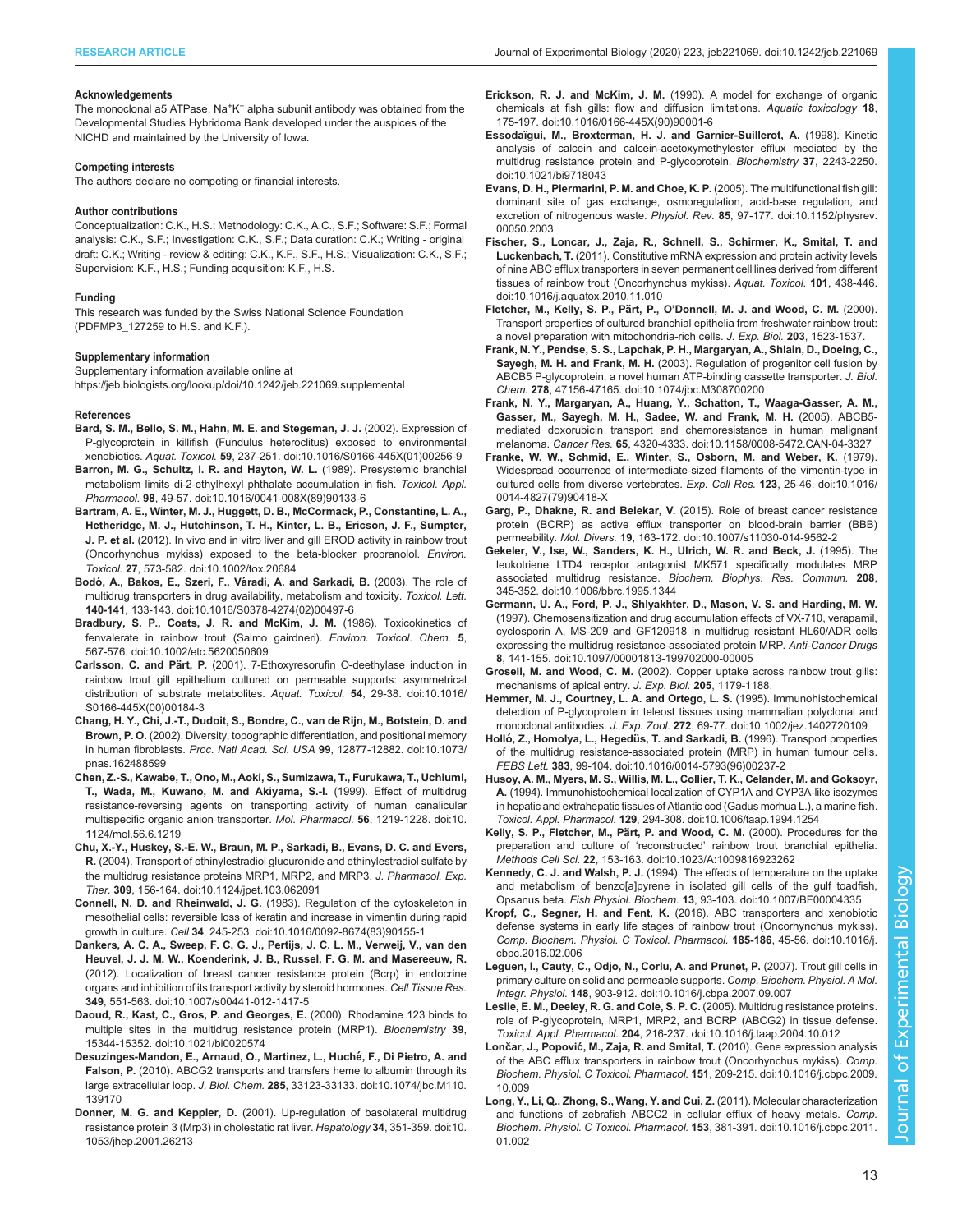#### <span id="page-12-0"></span>Acknowledgements

The monoclonal a5 ATPase, Na<sup>+</sup>K<sup>+</sup> alpha subunit antibody was obtained from the Developmental Studies Hybridoma Bank developed under the auspices of the NICHD and maintained by the University of Iowa.

#### Competing interests

The authors declare no competing or financial interests.

#### Author contributions

Conceptualization: C.K., H.S.; Methodology: C.K., A.C., S.F.; Software: S.F.; Formal analysis: C.K., S.F.; Investigation: C.K., S.F.; Data curation: C.K.; Writing - original draft: C.K.; Writing - review & editing: C.K., K.F., S.F., H.S.; Visualization: C.K., S.F.; Supervision: K.F., H.S.; Funding acquisition: K.F., H.S.

#### Funding

This research was funded by the Swiss National Science Foundation (PDFMP3\_127259 to H.S. and K.F.).

#### Supplementary information

Supplementary information available online at <https://jeb.biologists.org/lookup/doi/10.1242/jeb.221069.supplemental>

#### References

- [Bard, S. M., Bello, S. M., Hahn, M. E. and Stegeman, J. J.](https://doi.org/10.1016/S0166-445X(01)00256-9) (2002). Expression of [P-glycoprotein in killifish \(Fundulus heteroclitus\) exposed to environmental](https://doi.org/10.1016/S0166-445X(01)00256-9) xenobiotics. Aquat. Toxicol. 59[, 237-251. doi:10.1016/S0166-445X\(01\)00256-9](https://doi.org/10.1016/S0166-445X(01)00256-9)
- [Barron, M. G., Schultz, I. R. and Hayton, W. L.](https://doi.org/10.1016/0041-008X(89)90133-6) (1989). Presystemic branchial [metabolism limits di-2-ethylhexyl phthalate accumulation in fish.](https://doi.org/10.1016/0041-008X(89)90133-6) Toxicol. Appl. Pharmacol. 98[, 49-57. doi:10.1016/0041-008X\(89\)90133-6](https://doi.org/10.1016/0041-008X(89)90133-6)
- [Bartram, A. E., Winter, M. J., Huggett, D. B., McCormack, P., Constantine, L. A.,](https://doi.org/10.1002/tox.20684) [Hetheridge, M. J., Hutchinson, T. H., Kinter, L. B., Ericson, J. F., Sumpter,](https://doi.org/10.1002/tox.20684) J. P. et al. [\(2012\). In vivo and in vitro liver and gill EROD activity in rainbow trout](https://doi.org/10.1002/tox.20684) [\(Oncorhynchus mykiss\) exposed to the beta-blocker propranolol.](https://doi.org/10.1002/tox.20684) Environ. Toxicol. 27[, 573-582. doi:10.1002/tox.20684](https://doi.org/10.1002/tox.20684)
- Bodó, A., Bakos, E., Szeri, F., Váradi, A. and Sarkadi, B. (2003). The role of [multidrug transporters in drug availability, metabolism and toxicity.](https://doi.org/10.1016/S0378-4274(02)00497-6) Toxicol. Lett. 140-141[, 133-143. doi:10.1016/S0378-4274\(02\)00497-6](https://doi.org/10.1016/S0378-4274(02)00497-6)
- [Bradbury, S. P., Coats, J. R. and McKim, J. M.](https://doi.org/10.1002/etc.5620050609) (1986). Toxicokinetics of [fenvalerate in rainbow trout \(Salmo gairdneri\).](https://doi.org/10.1002/etc.5620050609) Environ. Toxicol. Chem. 5, [567-576. doi:10.1002/etc.5620050609](https://doi.org/10.1002/etc.5620050609)
- Carlsson, C. and Pärt, P. [\(2001\). 7-Ethoxyresorufin O-deethylase induction in](https://doi.org/10.1016/S0166-445X(00)00184-3) [rainbow trout gill epithelium cultured on permeable supports: asymmetrical](https://doi.org/10.1016/S0166-445X(00)00184-3) [distribution of substrate metabolites.](https://doi.org/10.1016/S0166-445X(00)00184-3) Aquat. Toxicol. 54, 29-38. doi:10.1016/ [S0166-445X\(00\)00184-3](https://doi.org/10.1016/S0166-445X(00)00184-3)
- [Chang, H. Y., Chi, J.-T., Dudoit, S., Bondre, C., van de Rijn, M., Botstein, D. and](https://doi.org/10.1073/pnas.162488599) Brown, P. O. [\(2002\). Diversity, topographic differentiation, and positional memory](https://doi.org/10.1073/pnas.162488599) in human fibroblasts. Proc. Natl Acad. Sci. USA 99[, 12877-12882. doi:10.1073/](https://doi.org/10.1073/pnas.162488599) [pnas.162488599](https://doi.org/10.1073/pnas.162488599)
- [Chen, Z.-S., Kawabe, T., Ono, M., Aoki, S., Sumizawa, T., Furukawa, T., Uchiumi,](https://doi.org/10.1124/mol.56.6.1219) [T., Wada, M., Kuwano, M. and Akiyama, S.-I.](https://doi.org/10.1124/mol.56.6.1219) (1999). Effect of multidrug [resistance-reversing agents on transporting activity of human canalicular](https://doi.org/10.1124/mol.56.6.1219) [multispecific organic anion transporter.](https://doi.org/10.1124/mol.56.6.1219) Mol. Pharmacol. 56, 1219-1228. doi:10. [1124/mol.56.6.1219](https://doi.org/10.1124/mol.56.6.1219)
- [Chu, X.-Y., Huskey, S.-E. W., Braun, M. P., Sarkadi, B., Evans, D. C. and Evers,](https://doi.org/10.1124/jpet.103.062091) R. [\(2004\). Transport of ethinylestradiol glucuronide and ethinylestradiol sulfate by](https://doi.org/10.1124/jpet.103.062091) [the multidrug resistance proteins MRP1, MRP2, and MRP3.](https://doi.org/10.1124/jpet.103.062091) J. Pharmacol. Exp. Ther. 309[, 156-164. doi:10.1124/jpet.103.062091](https://doi.org/10.1124/jpet.103.062091)
- Connell, N. D. and Rheinwald, J. G. [\(1983\). Regulation of the cytoskeleton in](https://doi.org/10.1016/0092-8674(83)90155-1) [mesothelial cells: reversible loss of keratin and increase in vimentin during rapid](https://doi.org/10.1016/0092-8674(83)90155-1) growth in culture. Cell 34[, 245-253. doi:10.1016/0092-8674\(83\)90155-1](https://doi.org/10.1016/0092-8674(83)90155-1)
- [Dankers, A. C. A., Sweep, F. C. G. J., Pertijs, J. C. L. M., Verweij, V., van den](https://doi.org/10.1007/s00441-012-1417-5) [Heuvel, J. J. M. W., Koenderink, J. B., Russel, F. G. M. and Masereeuw, R.](https://doi.org/10.1007/s00441-012-1417-5) [\(2012\). Localization of breast cancer resistance protein \(Bcrp\) in endocrine](https://doi.org/10.1007/s00441-012-1417-5) [organs and inhibition of its transport activity by steroid hormones.](https://doi.org/10.1007/s00441-012-1417-5) Cell Tissue Res. 349[, 551-563. doi:10.1007/s00441-012-1417-5](https://doi.org/10.1007/s00441-012-1417-5)
- [Daoud, R., Kast, C., Gros, P. and Georges, E.](https://doi.org/10.1021/bi0020574) (2000). Rhodamine 123 binds to [multiple sites in the multidrug resistance protein \(MRP1\).](https://doi.org/10.1021/bi0020574) Biochemistry 39, [15344-15352. doi:10.1021/bi0020574](https://doi.org/10.1021/bi0020574)
- Desuzinges-Mandon, E., Arnaud, O., Martinez, L., Huché, F., Di Pietro, A. and Falson, P. [\(2010\). ABCG2 transports and transfers heme to albumin through its](https://doi.org/10.1074/jbc.M110.139170) large extracellular loop. J. Biol. Chem. 285[, 33123-33133. doi:10.1074/jbc.M110.](https://doi.org/10.1074/jbc.M110.139170) [139170](https://doi.org/10.1074/jbc.M110.139170)
- Donner, M. G. and Keppler, D. [\(2001\). Up-regulation of basolateral multidrug](https://doi.org/10.1053/jhep.2001.26213) [resistance protein 3 \(Mrp3\) in cholestatic rat liver.](https://doi.org/10.1053/jhep.2001.26213) Hepatology 34, 351-359. doi:10. [1053/jhep.2001.26213](https://doi.org/10.1053/jhep.2001.26213)
- Erickson, R. J. and McKim, J. M. [\(1990\). A model for exchange of organic](https://doi.org/10.1016/0166-445X(90)90001-6) [chemicals at fish gills: flow and diffusion limitations.](https://doi.org/10.1016/0166-445X(90)90001-6) Aquatic toxicology 18, [175-197. doi:10.1016/0166-445X\(90\)90001-6](https://doi.org/10.1016/0166-445X(90)90001-6)
- [Essodaïgui, M., Broxterman, H. J. and Garnier-Suillerot, A.](https://doi.org/10.1021/bi9718043) (1998). Kinetic [analysis of calcein and calcein-acetoxymethylester efflux mediated by the](https://doi.org/10.1021/bi9718043) [multidrug resistance protein and P-glycoprotein.](https://doi.org/10.1021/bi9718043) Biochemistry 37, 2243-2250. [doi:10.1021/bi9718043](https://doi.org/10.1021/bi9718043)
- [Evans, D. H., Piermarini, P. M. and Choe, K. P.](https://doi.org/10.1152/physrev.00050.2003) (2005). The multifunctional fish gill: [dominant site of gas exchange, osmoregulation, acid-base regulation, and](https://doi.org/10.1152/physrev.00050.2003) [excretion of nitrogenous waste.](https://doi.org/10.1152/physrev.00050.2003) Physiol. Rev. 85, 97-177. doi:10.1152/physrev. [00050.2003](https://doi.org/10.1152/physrev.00050.2003)
- [Fischer, S., Loncar, J., Zaja, R., Schnell, S., Schirmer, K., Smital, T. and](https://doi.org/10.1016/j.aquatox.2010.11.010) Luckenbach, T. [\(2011\). Constitutive mRNA expression and protein activity levels](https://doi.org/10.1016/j.aquatox.2010.11.010) [of nine ABC efflux transporters in seven permanent cell lines derived from different](https://doi.org/10.1016/j.aquatox.2010.11.010) [tissues of rainbow trout \(Oncorhynchus mykiss\).](https://doi.org/10.1016/j.aquatox.2010.11.010) Aquat. Toxicol. 101, 438-446. [doi:10.1016/j.aquatox.2010.11.010](https://doi.org/10.1016/j.aquatox.2010.11.010)
- Fletcher, M., Kelly, S. P., Pärt, P., O'Donnell, M. J. and Wood, C. M. (2000). Transport properties of cultured branchial epithelia from freshwater rainbow trout: a novel preparation with mitochondria-rich cells. J. Exp. Biol. 203, 1523-1537.
- [Frank, N. Y., Pendse, S. S., Lapchak, P. H., Margaryan, A., Shlain, D., Doeing, C.,](https://doi.org/10.1074/jbc.M308700200) Sayegh, M. H. and Frank, M. H. [\(2003\). Regulation of progenitor cell fusion by](https://doi.org/10.1074/jbc.M308700200) [ABCB5 P-glycoprotein, a novel human ATP-binding cassette transporter.](https://doi.org/10.1074/jbc.M308700200) J. Biol. Chem. 278[, 47156-47165. doi:10.1074/jbc.M308700200](https://doi.org/10.1074/jbc.M308700200)
- [Frank, N. Y., Margaryan, A., Huang, Y., Schatton, T., Waaga-Gasser, A. M.,](https://doi.org/10.1158/0008-5472.CAN-04-3327) [Gasser, M., Sayegh, M. H., Sadee, W. and Frank, M. H.](https://doi.org/10.1158/0008-5472.CAN-04-3327) (2005). ABCB5 [mediated doxorubicin transport and chemoresistance in human malignant](https://doi.org/10.1158/0008-5472.CAN-04-3327) melanoma. Cancer Res. 65[, 4320-4333. doi:10.1158/0008-5472.CAN-04-3327](https://doi.org/10.1158/0008-5472.CAN-04-3327)
- [Franke, W. W., Schmid, E., Winter, S., Osborn, M. and Weber, K.](https://doi.org/10.1016/0014-4827(79)90418-X) (1979). [Widespread occurrence of intermediate-sized filaments of the vimentin-type in](https://doi.org/10.1016/0014-4827(79)90418-X) [cultured cells from diverse vertebrates.](https://doi.org/10.1016/0014-4827(79)90418-X) Exp. Cell Res. 123, 25-46. doi:10.1016/ [0014-4827\(79\)90418-X](https://doi.org/10.1016/0014-4827(79)90418-X)
- Garg, P., Dhakne, R. and Belekar, V. [\(2015\). Role of breast cancer resistance](https://doi.org/10.1007/s11030-014-9562-2) [protein \(BCRP\) as active efflux transporter on blood-brain barrier \(BBB\)](https://doi.org/10.1007/s11030-014-9562-2) permeability. Mol. Divers. 19[, 163-172. doi:10.1007/s11030-014-9562-2](https://doi.org/10.1007/s11030-014-9562-2)
- [Gekeler, V., Ise, W., Sanders, K. H., Ulrich, W. R. and Beck, J.](https://doi.org/10.1006/bbrc.1995.1344) (1995). The [leukotriene LTD4 receptor antagonist MK571 specifically modulates MRP](https://doi.org/10.1006/bbrc.1995.1344) associated multidrug resistance. [Biochem. Biophys. Res. Commun.](https://doi.org/10.1006/bbrc.1995.1344) 208, [345-352. doi:10.1006/bbrc.1995.1344](https://doi.org/10.1006/bbrc.1995.1344)
- [Germann, U. A., Ford, P. J., Shlyakhter, D., Mason, V. S. and Harding, M. W.](https://doi.org/10.1097/00001813-199702000-00005) [\(1997\). Chemosensitization and drug accumulation effects of VX-710, verapamil,](https://doi.org/10.1097/00001813-199702000-00005) [cyclosporin A, MS-209 and GF120918 in multidrug resistant HL60/ADR cells](https://doi.org/10.1097/00001813-199702000-00005) [expressing the multidrug resistance-associated protein MRP.](https://doi.org/10.1097/00001813-199702000-00005) Anti-Cancer Drugs 8[, 141-155. doi:10.1097/00001813-199702000-00005](https://doi.org/10.1097/00001813-199702000-00005)
- Grosell, M. and Wood, C. M. (2002). Copper uptake across rainbow trout gills: mechanisms of apical entry. J. Exp. Biol. 205, 1179-1188.
- [Hemmer, M. J., Courtney, L. A. and Ortego, L. S.](https://doi.org/10.1002/jez.1402720109) (1995). Immunohistochemical [detection of P-glycoprotein in teleost tissues using mammalian polyclonal and](https://doi.org/10.1002/jez.1402720109) monoclonal antibodies. J. Exp. Zool. 272[, 69-77. doi:10.1002/jez.1402720109](https://doi.org/10.1002/jez.1402720109)
- Holló, Z., Homolya, L., Hegedüs, T. and Sarkadi, B. [\(1996\). Transport properties](https://doi.org/10.1016/0014-5793(96)00237-2) [of the multidrug resistance-associated protein \(MRP\) in human tumour cells.](https://doi.org/10.1016/0014-5793(96)00237-2) FEBS Lett. 383[, 99-104. doi:10.1016/0014-5793\(96\)00237-2](https://doi.org/10.1016/0014-5793(96)00237-2)
- [Husoy, A. M., Myers, M. S., Willis, M. L., Collier, T. K., Celander, M. and Goksoyr,](https://doi.org/10.1006/taap.1994.1254) A. [\(1994\). Immunohistochemical localization of CYP1A and CYP3A-like isozymes](https://doi.org/10.1006/taap.1994.1254) [in hepatic and extrahepatic tissues of Atlantic cod \(Gadus morhua L.\), a marine fish.](https://doi.org/10.1006/taap.1994.1254) Toxicol. Appl. Pharmacol. 129[, 294-308. doi:10.1006/taap.1994.1254](https://doi.org/10.1006/taap.1994.1254)
- [Kelly, S. P., Fletcher, M., Pa](https://doi.org/10.1023/A:1009816923262)̈rt, P. and Wood, C. M. (2000). Procedures for the preparation and culture of 'reconstructed' [rainbow trout branchial epithelia.](https://doi.org/10.1023/A:1009816923262) Methods Cell Sci. 22[, 153-163. doi:10.1023/A:1009816923262](https://doi.org/10.1023/A:1009816923262)
- Kennedy, C. J. and Walsh, P. J. [\(1994\). The effects of temperature on the uptake](https://doi.org/10.1007/BF00004335) [and metabolism of benzo\[a\]pyrene in isolated gill cells of the gulf toadfish,](https://doi.org/10.1007/BF00004335) Opsanus beta. Fish Physiol. Biochem. 13[, 93-103. doi:10.1007/BF00004335](https://doi.org/10.1007/BF00004335)
- Kropf, C., Segner, H. and Fent, K. [\(2016\). ABC transporters and xenobiotic](https://doi.org/10.1016/j.cbpc.2016.02.006) [defense systems in early life stages of rainbow trout \(Oncorhynchus mykiss\).](https://doi.org/10.1016/j.cbpc.2016.02.006) [Comp. Biochem. Physiol. C Toxicol. Pharmacol.](https://doi.org/10.1016/j.cbpc.2016.02.006) 185-186, 45-56. doi:10.1016/j. [cbpc.2016.02.006](https://doi.org/10.1016/j.cbpc.2016.02.006)
- [Leguen, I., Cauty, C., Odjo, N., Corlu, A. and Prunet, P.](https://doi.org/10.1016/j.cbpa.2007.09.007) (2007). Trout gill cells in [primary culture on solid and permeable supports.](https://doi.org/10.1016/j.cbpa.2007.09.007) Comp. Biochem. Physiol. A Mol. Integr. Physiol. 148[, 903-912. doi:10.1016/j.cbpa.2007.09.007](https://doi.org/10.1016/j.cbpa.2007.09.007)
- [Leslie, E. M., Deeley, R. G. and Cole, S. P. C.](https://doi.org/10.1016/j.taap.2004.10.012) (2005). Multidrug resistance proteins. [role of P-glycoprotein, MRP1, MRP2, and BCRP \(ABCG2\) in tissue defense.](https://doi.org/10.1016/j.taap.2004.10.012) Toxicol. Appl. Pharmacol. 204[, 216-237. doi:10.1016/j.taap.2004.10.012](https://doi.org/10.1016/j.taap.2004.10.012)
- Lončar, J., Popović, M., Zaja, R. and Smital, T. [\(2010\). Gene expression analysis](https://doi.org/10.1016/j.cbpc.2009.10.009) [of the ABC efflux transporters in rainbow trout \(Oncorhynchus mykiss\).](https://doi.org/10.1016/j.cbpc.2009.10.009) Comp. [Biochem. Physiol. C Toxicol. Pharmacol.](https://doi.org/10.1016/j.cbpc.2009.10.009) 151, 209-215. doi:10.1016/j.cbpc.2009. [10.009](https://doi.org/10.1016/j.cbpc.2009.10.009)
- [Long, Y., Li, Q., Zhong, S., Wang, Y. and Cui, Z.](https://doi.org/10.1016/j.cbpc.2011.01.002) (2011). Molecular characterization [and functions of zebrafish ABCC2 in cellular efflux of heavy metals.](https://doi.org/10.1016/j.cbpc.2011.01.002) Comp. [Biochem. Physiol. C Toxicol. Pharmacol.](https://doi.org/10.1016/j.cbpc.2011.01.002) 153, 381-391. doi:10.1016/j.cbpc.2011. [01.002](https://doi.org/10.1016/j.cbpc.2011.01.002)